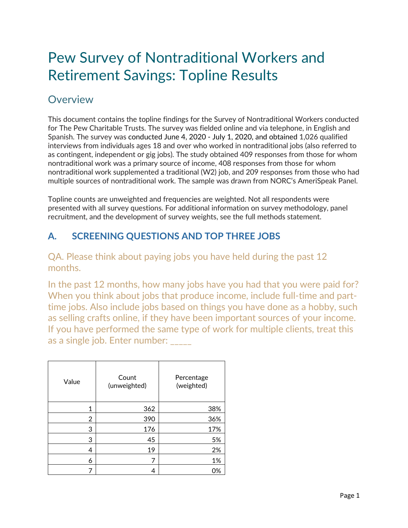# Pew Survey of Nontraditional Workers and Retirement Savings: Topline Results

# Overview

This document contains the topline findings for the Survey of Nontraditional Workers conducted for The Pew Charitable Trusts. The survey was fielded online and via telephone, in English and Spanish. The survey was conducted June 4, 2020 - July 1, 2020, and obtained 1,026 qualified interviews from individuals ages 18 and over who worked in nontraditional jobs (also referred to as contingent, independent or gig jobs). The study obtained 409 responses from those for whom nontraditional work was a primary source of income, 408 responses from those for whom nontraditional work supplemented a traditional (W2) job, and 209 responses from those who had multiple sources of nontraditional work. The sample was drawn from NORC's AmeriSpeak Panel.

Topline counts are unweighted and frequencies are weighted. Not all respondents were presented with all survey questions. For additional information on survey methodology, panel recruitment, and the development of survey weights, see the full methods statement.

# **A. SCREENING QUESTIONS AND TOP THREE JOBS**

#### QA. Please think about paying jobs you have held during the past 12 months.

In the past 12 months, how many jobs have you had that you were paid for? When you think about jobs that produce income, include full-time and parttime jobs. Also include jobs based on things you have done as a hobby, such as selling crafts online, if they have been important sources of your income. If you have performed the same type of work for multiple clients, treat this as a single job. Enter number:

| Value | Count<br>(unweighted) | Percentage<br>(weighted) |
|-------|-----------------------|--------------------------|
| 1     | 362                   | 38%                      |
| 2     | 390                   | 36%                      |
| 3     | 176                   | 17%                      |
| 3     | 45                    | 5%                       |
| 4     | 19                    | 2%                       |
| 6     | 7                     | 1%                       |
|       | 4                     | 0%                       |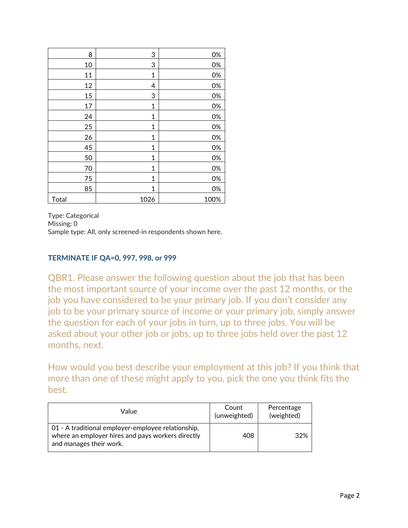| 8     | 3            | 0%   |
|-------|--------------|------|
| 10    | 3            | 0%   |
| 11    | $\mathbf 1$  | 0%   |
| 12    | 4            | 0%   |
| 15    | 3            | 0%   |
| 17    | 1            | 0%   |
| 24    | $\mathbf 1$  | 0%   |
| 25    | $\mathbf{1}$ | 0%   |
| 26    | 1            | 0%   |
| 45    | 1            | 0%   |
| 50    | 1            | 0%   |
| 70    | $\mathbf{1}$ | 0%   |
| 75    | 1            | 0%   |
| 85    | 1            | 0%   |
| Total | 1026         | 100% |

Type: Categorical Missing: 0 Sample type: All, only screened-in respondents shown here.

#### **TERMINATE IF QA=0, 997, 998, or 999**

QBR1. Please answer the following question about the job that has been the most important source of your income over the past 12 months, or the job you have considered to be your primary job. If you don't consider any job to be your primary source of income or your primary job, simply answer the question for each of your jobs in turn, up to three jobs. You will be asked about your other job or jobs, up to three jobs held over the past 12 months, next.

How would you best describe your employment at this job? If you think that more than one of these might apply to you, pick the one you think fits the best.

| Value                                                                                                                              | Count<br>(unweighted) | Percentage<br>(weighted) |
|------------------------------------------------------------------------------------------------------------------------------------|-----------------------|--------------------------|
| 01 - A traditional employer-employee relationship,<br>where an employer hires and pays workers directly<br>and manages their work. | 408                   | 32%                      |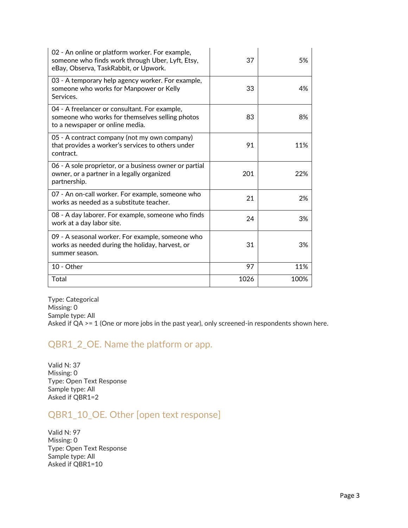| 02 - An online or platform worker. For example,<br>someone who finds work through Uber, Lyft, Etsy,<br>eBay, Observa, TaskRabbit, or Upwork. | 37   | 5%   |
|----------------------------------------------------------------------------------------------------------------------------------------------|------|------|
| 03 - A temporary help agency worker. For example,<br>someone who works for Manpower or Kelly<br>Services.                                    | 33   | 4%   |
| 04 - A freelancer or consultant. For example,<br>someone who works for themselves selling photos<br>to a newspaper or online media.          | 83   | 8%   |
| 05 - A contract company (not my own company)<br>that provides a worker's services to others under<br>contract.                               | 91   | 11%  |
| 06 - A sole proprietor, or a business owner or partial<br>owner, or a partner in a legally organized<br>partnership.                         | 201  | 22%  |
| 07 - An on-call worker. For example, someone who<br>works as needed as a substitute teacher.                                                 | 21   | 2%   |
| 08 - A day laborer. For example, someone who finds<br>work at a day labor site.                                                              | 24   | 3%   |
| 09 - A seasonal worker. For example, someone who<br>works as needed during the holiday, harvest, or<br>summer season.                        | 31   | 3%   |
| 10 - Other                                                                                                                                   | 97   | 11%  |
| Total                                                                                                                                        | 1026 | 100% |

Type: Categorical Missing: 0 Sample type: All Asked if QA >= 1 (One or more jobs in the past year), only screened-in respondents shown here.

#### QBR1\_2\_OE. Name the platform or app.

Valid N: 37 Missing: 0 Type: Open Text Response Sample type: All Asked if QBR1=2

# QBR1\_10\_OE. Other [open text response]

Valid N: 97 Missing: 0 Type: Open Text Response Sample type: All Asked if QBR1=10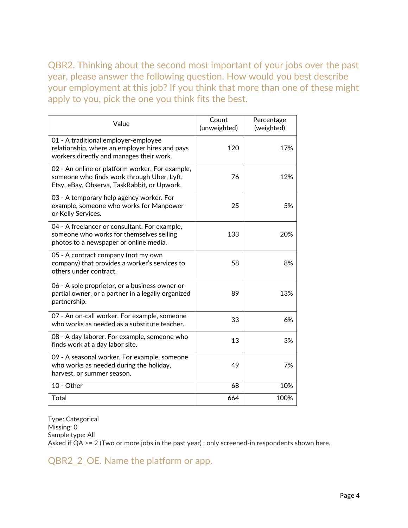QBR2. Thinking about the second most important of your jobs over the past year, please answer the following question. How would you best describe your employment at this job? If you think that more than one of these might apply to you, pick the one you think fits the best.

| Value                                                                                                                                        | Count<br>(unweighted) | Percentage<br>(weighted) |
|----------------------------------------------------------------------------------------------------------------------------------------------|-----------------------|--------------------------|
| 01 - A traditional employer-employee<br>relationship, where an employer hires and pays<br>workers directly and manages their work.           | 120                   | 17%                      |
| 02 - An online or platform worker. For example,<br>someone who finds work through Uber, Lyft,<br>Etsy, eBay, Observa, TaskRabbit, or Upwork. | 76                    | 12%                      |
| 03 - A temporary help agency worker. For<br>example, someone who works for Manpower<br>or Kelly Services.                                    | 25                    | 5%                       |
| 04 - A freelancer or consultant. For example,<br>someone who works for themselves selling<br>photos to a newspaper or online media.          | 133                   | 20%                      |
| 05 - A contract company (not my own<br>company) that provides a worker's services to<br>others under contract.                               | 58                    | 8%                       |
| 06 - A sole proprietor, or a business owner or<br>partial owner, or a partner in a legally organized<br>partnership.                         | 89                    | 13%                      |
| 07 - An on-call worker. For example, someone<br>who works as needed as a substitute teacher.                                                 | 33                    | 6%                       |
| 08 - A day laborer. For example, someone who<br>finds work at a day labor site.                                                              | 13                    | 3%                       |
| 09 - A seasonal worker. For example, someone<br>who works as needed during the holiday,<br>harvest, or summer season.                        | 49                    | 7%                       |
| 10 - Other                                                                                                                                   | 68                    | 10%                      |
| Total                                                                                                                                        | 664                   | 100%                     |

Type: Categorical Missing: 0 Sample type: All Asked if QA >= 2 (Two or more jobs in the past year) , only screened-in respondents shown here.

QBR2\_2\_OE. Name the platform or app.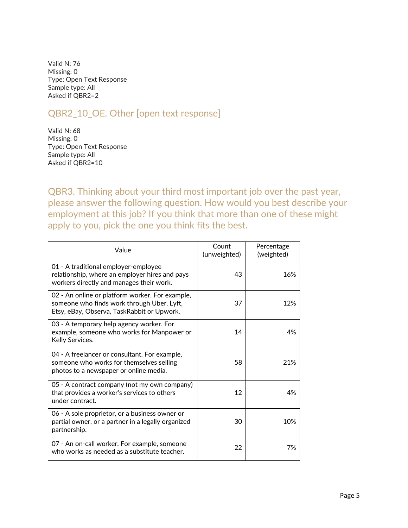Valid N: 76 Missing: 0 Type: Open Text Response Sample type: All Asked if QBR2=2

# QBR2\_10\_OE. Other [open text response]

Valid N: 68 Missing: 0 Type: Open Text Response Sample type: All Asked if QBR2=10

QBR3. Thinking about your third most important job over the past year, please answer the following question. How would you best describe your employment at this job? If you think that more than one of these might apply to you, pick the one you think fits the best.

| Value                                                                                                                                       | Count<br>(unweighted) | Percentage<br>(weighted) |
|---------------------------------------------------------------------------------------------------------------------------------------------|-----------------------|--------------------------|
| 01 - A traditional employer-employee<br>relationship, where an employer hires and pays<br>workers directly and manages their work.          | 43                    | 16%                      |
| 02 - An online or platform worker. For example,<br>someone who finds work through Uber, Lyft,<br>Etsy, eBay, Observa, TaskRabbit or Upwork. | 37                    | 12%                      |
| 03 - A temporary help agency worker. For<br>example, someone who works for Manpower or<br>Kelly Services.                                   | 14                    | 4%                       |
| 04 - A freelancer or consultant. For example,<br>someone who works for themselves selling<br>photos to a newspaper or online media.         | 58                    | 21%                      |
| 05 - A contract company (not my own company)<br>that provides a worker's services to others<br>under contract.                              | 12                    | 4%                       |
| 06 - A sole proprietor, or a business owner or<br>partial owner, or a partner in a legally organized<br>partnership.                        | 30                    | 10%                      |
| 07 - An on-call worker. For example, someone<br>who works as needed as a substitute teacher.                                                | 22                    | 7%                       |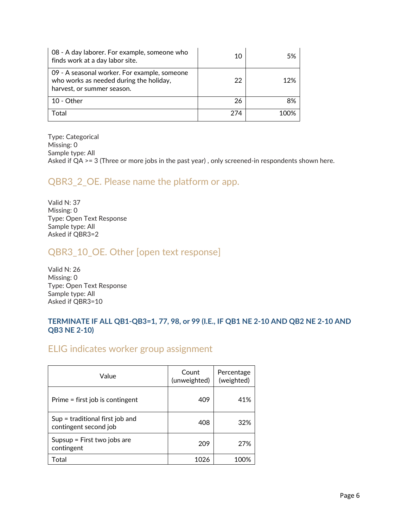| 08 - A day laborer. For example, someone who<br>finds work at a day labor site.                                       | 10  | .5%  |
|-----------------------------------------------------------------------------------------------------------------------|-----|------|
| 09 - A seasonal worker. For example, someone<br>who works as needed during the holiday,<br>harvest, or summer season. | 22  | 12%  |
| $10 - Other$                                                                                                          | 26  | 8%   |
| Total                                                                                                                 | 274 | 100% |

Type: Categorical Missing: 0 Sample type: All Asked if QA >= 3 (Three or more jobs in the past year), only screened-in respondents shown here.

#### QBR3\_2\_OE. Please name the platform or app.

Valid N: 37 Missing: 0 Type: Open Text Response Sample type: All Asked if QBR3=2

#### QBR3\_10\_OE. Other [open text response]

Valid N: 26 Missing: 0 Type: Open Text Response Sample type: All Asked if QBR3=10

#### **TERMINATE IF ALL QB1-QB3=1, 77, 98, or 99 (I.E., IF QB1 NE 2-10 AND QB2 NE 2-10 AND QB3 NE 2-10)**

#### ELIG indicates worker group assignment

| Value                                                      | Count<br>(unweighted) | Percentage<br>(weighted) |
|------------------------------------------------------------|-----------------------|--------------------------|
| Prime = first job is contingent                            | 409                   | 41%                      |
| $Sup = traditional first job and$<br>contingent second job | 408                   | 32%                      |
| Supsup = First two jobs are<br>contingent                  | 209                   | 27%                      |
| Total                                                      | 1026                  | 100%                     |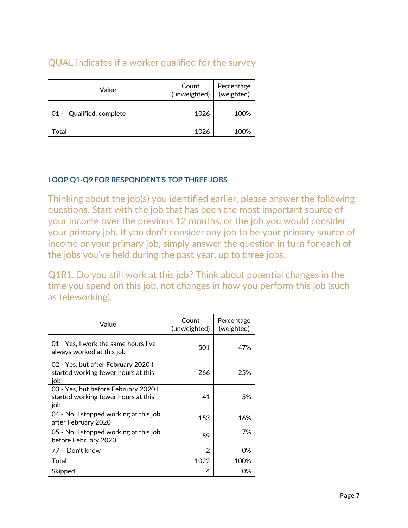# QUAL indicates if a worker qualified for the survey

| Value                    | Count<br>(unweighted) | Percentage<br>(weighted) |
|--------------------------|-----------------------|--------------------------|
| 01 - Qualified, complete | 1026                  | 100%                     |
| Γotal                    | 1026                  | 100%                     |

#### **LOOP Q1-Q9 FOR RESPONDENT'S TOP THREE JOBS**

Thinking about the job(s) you identified earlier, please answer the following questions. Start with the job that has been the most important source of your income over the previous 12 months, or the job you would consider your primary job. If you don't consider any job to be your primary source of income or your primary job, simply answer the question in turn for each of the jobs you've held during the past year, up to three jobs.

Q1R1. Do you still work at this job? Think about potential changes in the time you spend on this job, not changes in how you perform this job (such as teleworking).

| Value                                                                              | Count<br>(unweighted) | Percentage<br>(weighted) |
|------------------------------------------------------------------------------------|-----------------------|--------------------------|
| 01 - Yes, I work the same hours I've<br>always worked at this job                  | 501                   | 47%                      |
| 02 - Yes, but after February 2020 l<br>started working fewer hours at this<br>iob  | 266                   | 25%                      |
| 03 - Yes, but before February 2020 I<br>started working fewer hours at this<br>iob | 41                    | 5%                       |
| 04 - No, I stopped working at this job<br>after February 2020                      | 153                   | 16%                      |
| 05 - No, I stopped working at this job<br>before February 2020                     | 59                    | 7%                       |
| 77 - Don't know                                                                    | $\mathcal{P}$         | 0%                       |
| Total                                                                              | 1022                  | 100%                     |
| Skipped                                                                            | 4                     | 0%                       |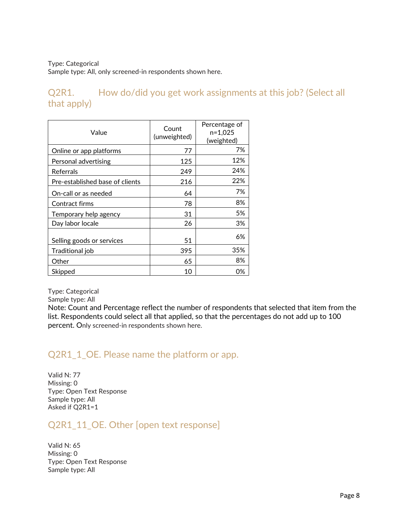Sample type: All, only screened-in respondents shown here.

Q2R1. How do/did you get work assignments at this job? (Select all that apply)

| Value                           | Count<br>(unweighted) | Percentage of<br>$n=1,025$<br>(weighted) |
|---------------------------------|-----------------------|------------------------------------------|
| Online or app platforms         | 77                    | 7%                                       |
| Personal advertising            | 125                   | 12%                                      |
| Referrals                       | 249                   | 24%                                      |
| Pre-established base of clients | 216                   | 22%                                      |
| On-call or as needed            | 64                    | 7%                                       |
| Contract firms                  | 78                    | 8%                                       |
| Temporary help agency           | 31                    | 5%                                       |
| Day labor locale                | 26                    | 3%                                       |
| Selling goods or services       | 51                    | 6%                                       |
| Traditional job                 | 395                   | 35%                                      |
| Other                           | 65                    | 8%                                       |
| Skipped                         | 10                    | 0%                                       |

Type: Categorical

Sample type: All

Note: Count and Percentage reflect the number of respondents that selected that item from the list. Respondents could select all that applied, so that the percentages do not add up to 100 percent. Only screened-in respondents shown here.

# Q2R1\_1\_OE. Please name the platform or app.

Valid N: 77 Missing: 0 Type: Open Text Response Sample type: All Asked if Q2R1=1

Q2R1\_11\_OE. Other [open text response]

Valid N: 65 Missing: 0 Type: Open Text Response Sample type: All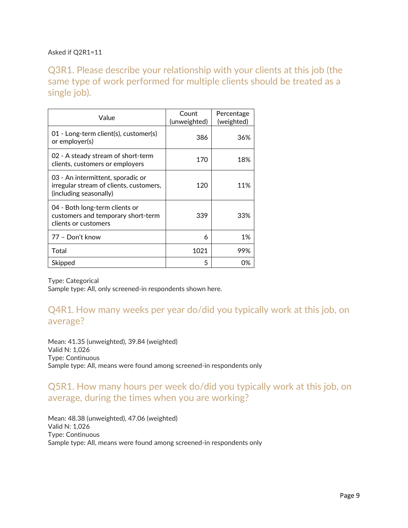#### Asked if Q2R1=11

Q3R1. Please describe your relationship with your clients at this job (the same type of work performed for multiple clients should be treated as a single job).

| Value                                                                                                  | Count<br>(unweighted) | Percentage<br>(weighted) |
|--------------------------------------------------------------------------------------------------------|-----------------------|--------------------------|
| 01 - Long-term client(s), customer(s)<br>or employer(s)                                                | 386                   | 36%                      |
| 02 - A steady stream of short-term<br>clients, customers or employers                                  | 170                   | 18%                      |
| 03 - An intermittent, sporadic or<br>irregular stream of clients, customers,<br>(including seasonally) | 120                   | 11%                      |
| 04 - Both long-term clients or<br>customers and temporary short-term<br>clients or customers           | 339                   | 33%                      |
| 77 - Don't know                                                                                        | 6                     | 1%                       |
| Total                                                                                                  | 1021                  | 99%                      |
| Skipped                                                                                                | 5                     | በ%                       |

Type: Categorical

Sample type: All, only screened-in respondents shown here.

### Q4R1*.* How many weeks per year do/did you typically work at this job, on average?

Mean: 41.35 (unweighted), 39.84 (weighted) Valid N: 1,026 Type: Continuous Sample type: All, means were found among screened-in respondents only

#### Q5R1. How many hours per week do/did you typically work at this job, on average, during the times when you are working?

Mean: 48.38 (unweighted), 47.06 (weighted) Valid N: 1,026 Type: Continuous Sample type: All, means were found among screened-in respondents only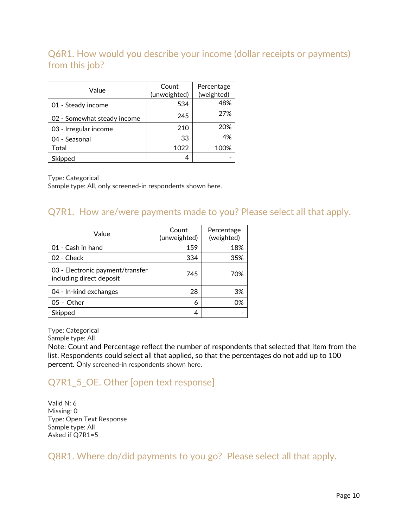# Q6R1. How would you describe your income (dollar receipts or payments) from this job?

| Value                       | Count<br>(unweighted) | Percentage<br>(weighted) |
|-----------------------------|-----------------------|--------------------------|
| 01 - Steady income          | 534                   | 48%                      |
| 02 - Somewhat steady income | 245                   | 27%                      |
| 03 - Irregular income       | 210                   | 20%                      |
| 04 - Seasonal               | 33                    | 4%                       |
| Total                       | 1022                  | 100%                     |
| Skipped                     |                       |                          |

Type: Categorical

Sample type: All, only screened-in respondents shown here.

#### Q7R1. How are/were payments made to you? Please select all that apply.

| Value                                                        | Count<br>(unweighted) | Percentage<br>(weighted) |
|--------------------------------------------------------------|-----------------------|--------------------------|
| 01 - Cash in hand                                            | 159                   | 18%                      |
| 02 - Check                                                   | 334                   | 35%                      |
| 03 - Electronic payment/transfer<br>including direct deposit | 745                   | 70%                      |
| 04 - In-kind exchanges                                       | 28                    | 3%                       |
| $05 - Other$                                                 | 6                     | 0%                       |
| Skipped                                                      | 4                     |                          |

Type: Categorical

Sample type: All

Note: Count and Percentage reflect the number of respondents that selected that item from the list. Respondents could select all that applied, so that the percentages do not add up to 100 percent. Only screened-in respondents shown here.

# Q7R1\_5\_OE. Other [open text response]

Valid N: 6 Missing: 0 Type: Open Text Response Sample type: All Asked if Q7R1=5

Q8R1. Where do/did payments to you go? Please select all that apply.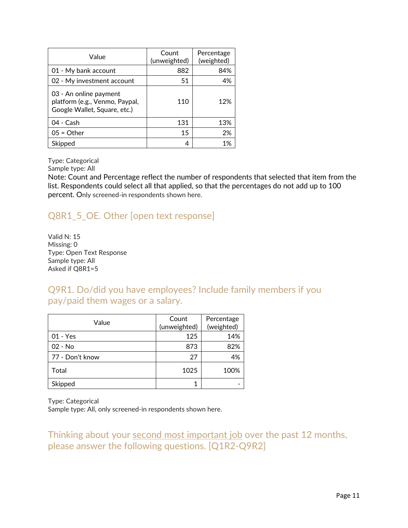| Value                                                                                    | Count<br>(unweighted) | Percentage<br>(weighted) |
|------------------------------------------------------------------------------------------|-----------------------|--------------------------|
| 01 - My bank account                                                                     | 882                   | 84%                      |
| 02 - My investment account                                                               | 51                    | 4%                       |
| 03 - An online payment<br>platform (e.g., Venmo, Paypal,<br>Google Wallet, Square, etc.) | 110                   | 12%                      |
| 04 - Cash                                                                                | 131                   | 13%                      |
| $05 = Other$                                                                             | 15                    | 2%                       |
| Skipped                                                                                  |                       | 1%                       |

Sample type: All

Note: Count and Percentage reflect the number of respondents that selected that item from the list. Respondents could select all that applied, so that the percentages do not add up to 100 percent. Only screened-in respondents shown here.

# Q8R1\_5\_OE. Other [open text response]

Valid N: 15 Missing: 0 Type: Open Text Response Sample type: All Asked if Q8R1=5

Q9R1. Do/did you have employees? Include family members if you pay/paid them wages or a salary.

| Value           | Count<br>(unweighted) | Percentage<br>(weighted) |
|-----------------|-----------------------|--------------------------|
| $01 - Yes$      | 125                   | 14%                      |
| $02 - No$       | 873                   | 82%                      |
| 77 - Don't know | 27                    | 4%                       |
| Total           | 1025                  | 100%                     |
| Skipped         |                       |                          |

Type: Categorical

Sample type: All, only screened-in respondents shown here.

Thinking about your second most important job over the past 12 months, please answer the following questions. [Q1R2-Q9R2]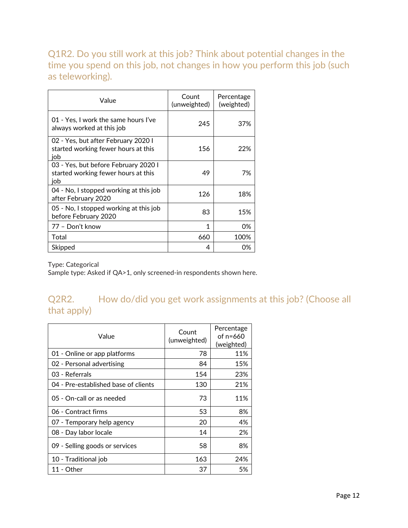Q1R2. Do you still work at this job? Think about potential changes in the time you spend on this job, not changes in how you perform this job (such as teleworking).

| Value                                                                              | Count<br>(unweighted) | Percentage<br>(weighted) |
|------------------------------------------------------------------------------------|-----------------------|--------------------------|
| 01 - Yes, I work the same hours I've<br>always worked at this job                  | 245                   | 37%                      |
| 02 - Yes, but after February 2020 l<br>started working fewer hours at this<br>iob  | 156                   | 22%                      |
| 03 - Yes, but before February 2020 I<br>started working fewer hours at this<br>iob | 49                    | 7%                       |
| 04 - No, I stopped working at this job<br>after February 2020                      | 126                   | 18%                      |
| 05 - No, I stopped working at this job<br>before February 2020                     | 83                    | 15%                      |
| 77 - Don't know                                                                    | 1                     | 0%                       |
| Total                                                                              | 660                   | 100%                     |
| Skipped                                                                            | 4                     | 0%                       |

Type: Categorical

Sample type: Asked if QA>1, only screened-in respondents shown here.

# Q2R2. How do/did you get work assignments at this job? (Choose all that apply)

| Value                                | Count<br>(unweighted) | Percentage<br>of $n=660$<br>(weighted) |
|--------------------------------------|-----------------------|----------------------------------------|
| 01 - Online or app platforms         | 78                    | 11%                                    |
| 02 - Personal advertising            | 84                    | 15%                                    |
| 03 - Referrals                       | 154                   | 23%                                    |
| 04 - Pre-established base of clients | 130                   | 21%                                    |
| 05 - On-call or as needed            | 73                    | 11%                                    |
| 06 - Contract firms                  | 53                    | 8%                                     |
| 07 - Temporary help agency           | 20                    | 4%                                     |
| 08 - Day labor locale                | 14                    | 2%                                     |
| 09 - Selling goods or services       | 58                    | 8%                                     |
| 10 - Traditional job                 | 163                   | 24%                                    |
| 11 - Other                           | 37                    | 5%                                     |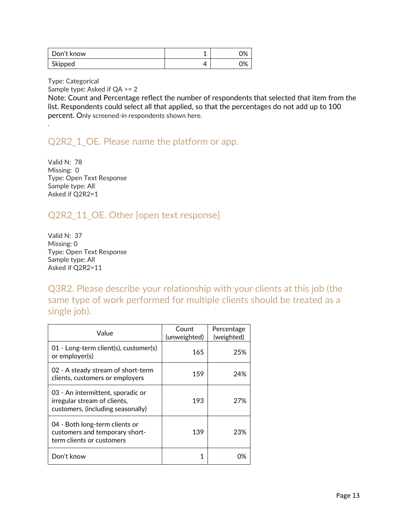| Don't know | 0% |
|------------|----|
| Skipped    | 0% |

.

Sample type: Asked if QA >= 2

Note: Count and Percentage reflect the number of respondents that selected that item from the list. Respondents could select all that applied, so that the percentages do not add up to 100 percent. Only screened-in respondents shown here.

### Q2R2 1 OE. Please name the platform or app.

Valid N: 78 Missing: 0 Type: Open Text Response Sample type: All Asked if Q2R2=1

# Q2R2\_11\_OE. Other [open text response]

Valid N: 37 Missing: 0 Type: Open Text Response Sample type: All Asked if Q2R2=11

Q3R2. Please describe your relationship with your clients at this job (the same type of work performed for multiple clients should be treated as a single job).

| Value                                                                                                  | Count<br>(unweighted) | Percentage<br>(weighted) |
|--------------------------------------------------------------------------------------------------------|-----------------------|--------------------------|
| 01 - Long-term client(s), customer(s)<br>or employer(s)                                                | 165                   | 25%                      |
| 02 - A steady stream of short-term<br>clients, customers or employers                                  | 159                   | 24%                      |
| 03 - An intermittent, sporadic or<br>irregular stream of clients,<br>customers, (including seasonally) | 193                   | 27%                      |
| 04 - Both long-term clients or<br>customers and temporary short-<br>term clients or customers          | 139                   | 23%                      |
| Don't know                                                                                             |                       | በ%                       |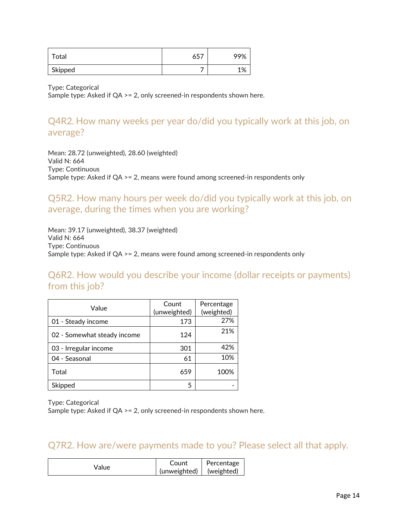| Total   | $45-$<br>, כס | 99% |
|---------|---------------|-----|
| Skipped |               | 1%  |

Sample type: Asked if QA >= 2, only screened-in respondents shown here.

# Q4R2*.* How many weeks per year do/did you typically work at this job, on average?

Mean: 28.72 (unweighted), 28.60 (weighted) Valid N: 664 Type: Continuous Sample type: Asked if QA >= 2, means were found among screened-in respondents only

#### Q5R2. How many hours per week do/did you typically work at this job, on average, during the times when you are working?

Mean: 39.17 (unweighted), 38.37 (weighted) Valid N: 664 Type: Continuous Sample type: Asked if QA >= 2, means were found among screened-in respondents only

Q6R2. How would you describe your income (dollar receipts or payments) from this job?

| Value                       | Count<br>(unweighted) | Percentage<br>(weighted) |
|-----------------------------|-----------------------|--------------------------|
| 01 - Steady income          | 173                   | 27%                      |
| 02 - Somewhat steady income | 124                   | 21%                      |
| 03 - Irregular income       | 301                   | 42%                      |
| 04 - Seasonal               | 61                    | 10%                      |
| Total                       | 659                   | 100%                     |
| Skipped                     | 5                     |                          |

Type: Categorical

Sample type: Asked if QA >= 2, only screened-in respondents shown here.

#### Q7R2. How are/were payments made to you? Please select all that apply.

| Value | Count        | Percentage |
|-------|--------------|------------|
|       | (unweighted) | (weighted) |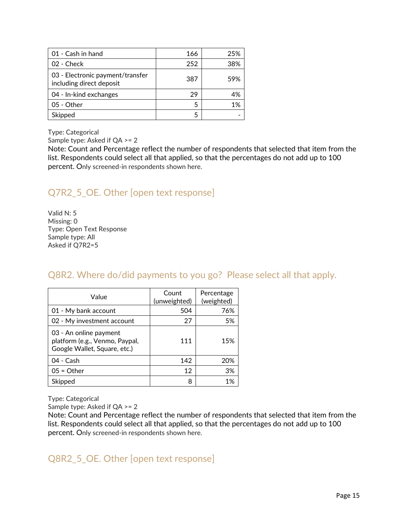| 01 - Cash in hand                                            | 166 | 25% |
|--------------------------------------------------------------|-----|-----|
| 02 - Check                                                   | 252 | 38% |
| 03 - Electronic payment/transfer<br>including direct deposit | 387 | 59% |
| 04 - In-kind exchanges                                       | 29  |     |
| 05 - Other                                                   |     | 1%  |
| Skipped                                                      |     |     |

Sample type: Asked if QA >= 2

Note: Count and Percentage reflect the number of respondents that selected that item from the list. Respondents could select all that applied, so that the percentages do not add up to 100 percent. Only screened-in respondents shown here.

# Q7R2\_5\_OE. Other [open text response]

Valid N: 5 Missing: 0 Type: Open Text Response Sample type: All Asked if Q7R2=5

# Q8R2. Where do/did payments to you go? Please select all that apply.

| Value                                                                                    | Count<br>(unweighted) | Percentage<br>(weighted) |
|------------------------------------------------------------------------------------------|-----------------------|--------------------------|
| 01 - My bank account                                                                     | 504                   | 76%                      |
| 02 - My investment account                                                               | 27                    | 5%                       |
| 03 - An online payment<br>platform (e.g., Venmo, Paypal,<br>Google Wallet, Square, etc.) | 111                   | 15%                      |
| 04 - Cash                                                                                | 142                   | 20%                      |
| $05 = Other$                                                                             | 12                    | 3%                       |
| Skipped                                                                                  | 8                     | 1%                       |

Type: Categorical

Sample type: Asked if QA >= 2

Note: Count and Percentage reflect the number of respondents that selected that item from the list. Respondents could select all that applied, so that the percentages do not add up to 100 percent. Only screened-in respondents shown here.

# Q8R2\_5\_OE. Other [open text response]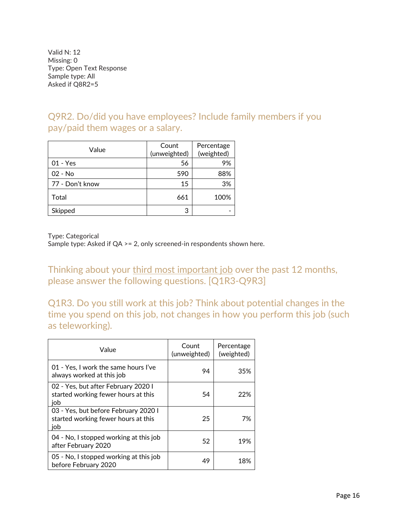Valid N: 12 Missing: 0 Type: Open Text Response Sample type: All Asked if Q8R2=5

Q9R2. Do/did you have employees? Include family members if you pay/paid them wages or a salary.

| Value           | Count<br>(unweighted) | Percentage<br>(weighted) |
|-----------------|-----------------------|--------------------------|
| $01 - Yes$      | 56                    | 9%                       |
| $02 - No$       | 590                   | 88%                      |
| 77 - Don't know | 15                    | 3%                       |
| Total           | 661                   | 100%                     |
| Skipped         | 3                     |                          |

Type: Categorical

Sample type: Asked if QA >= 2, only screened-in respondents shown here.

Thinking about your third most important job over the past 12 months, please answer the following questions. [Q1R3-Q9R3]

Q1R3. Do you still work at this job? Think about potential changes in the time you spend on this job, not changes in how you perform this job (such as teleworking).

| Value                                                                              | Count<br>(unweighted) | Percentage<br>(weighted) |
|------------------------------------------------------------------------------------|-----------------------|--------------------------|
| 01 - Yes, I work the same hours I've<br>always worked at this job                  | 94                    | 35%                      |
| 02 - Yes, but after February 2020 I<br>started working fewer hours at this<br>iob  | 54                    | 22%                      |
| 03 - Yes, but before February 2020 I<br>started working fewer hours at this<br>iob | 25                    | 7%                       |
| 04 - No, I stopped working at this job<br>after February 2020                      | 52                    | 19%                      |
| 05 - No, I stopped working at this job<br>before February 2020                     | 49                    | 18%                      |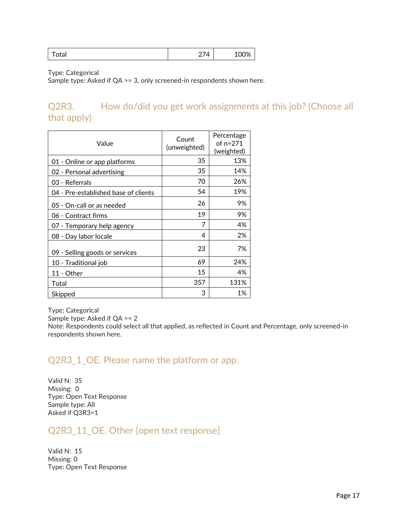| otal | $27\Delta$<br>— <b>—</b> | 100% |
|------|--------------------------|------|
|------|--------------------------|------|

Sample type: Asked if QA >= 3, only screened-in respondents shown here.

# Q2R3. How do/did you get work assignments at this job? (Choose all that apply)

| Value                                | Count<br>(unweighted) | Percentage<br>of $n=271$<br>(weighted) |
|--------------------------------------|-----------------------|----------------------------------------|
| 01 - Online or app platforms         | 35                    | 13%                                    |
| 02 - Personal advertising            | 35                    | 14%                                    |
| 03 - Referrals                       | 70                    | 26%                                    |
| 04 - Pre-established base of clients | 54                    | 19%                                    |
| 05 - On-call or as needed            | 26                    | 9%                                     |
| 06 - Contract firms                  | 19                    | 9%                                     |
| 07 - Temporary help agency           | 7                     | 4%                                     |
| 08 - Day labor locale                | 4                     | 2%                                     |
| 09 - Selling goods or services       | 23                    | 7%                                     |
| 10 - Traditional job                 | 69                    | 24%                                    |
| 11 - Other                           | 15                    | 4%                                     |
| Total                                | 357                   | 131%                                   |
| Skipped                              | З                     | 1%                                     |

Type: Categorical

Sample type: Asked if QA >= 2

Note: Respondents could select all that applied, as reflected in Count and Percentage, only screened-in respondents shown here.

# Q2R3\_1\_OE. Please name the platform or app.

Valid N: 35 Missing: 0 Type: Open Text Response Sample type: All Asked if Q3R3=1

#### Q2R3\_11\_OE. Other [open text response]

Valid N: 15 Missing: 0 Type: Open Text Response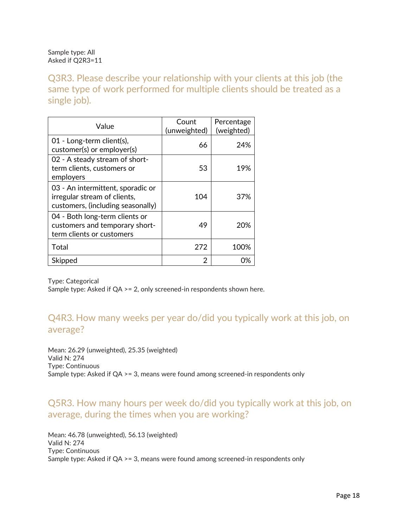Sample type: All Asked if Q2R3=11

Q3R3. Please describe your relationship with your clients at this job (the same type of work performed for multiple clients should be treated as a single job).

| Value                                                                                                  | Count<br>(unweighted) | Percentage<br>(weighted) |
|--------------------------------------------------------------------------------------------------------|-----------------------|--------------------------|
| 01 - Long-term client(s),<br>customer(s) or employer(s)                                                | 66                    | 24%                      |
| 02 - A steady stream of short-<br>term clients, customers or<br>employers                              | 53                    | 19%                      |
| 03 - An intermittent, sporadic or<br>irregular stream of clients,<br>customers, (including seasonally) | 104                   | 37%                      |
| 04 - Both long-term clients or<br>customers and temporary short-<br>term clients or customers          | 49                    | 20%                      |
| Total                                                                                                  | 272                   | 100%                     |
| Skipped                                                                                                | 2                     | 0%                       |

Type: Categorical

Sample type: Asked if QA >= 2, only screened-in respondents shown here.

### Q4R3*.* How many weeks per year do/did you typically work at this job, on average?

Mean: 26.29 (unweighted), 25.35 (weighted) Valid N: 274 Type: Continuous Sample type: Asked if QA >= 3, means were found among screened-in respondents only

### Q5R3. How many hours per week do/did you typically work at this job, on average, during the times when you are working?

Mean: 46.78 (unweighted), 56.13 (weighted) Valid N: 274 Type: Continuous Sample type: Asked if QA >= 3, means were found among screened-in respondents only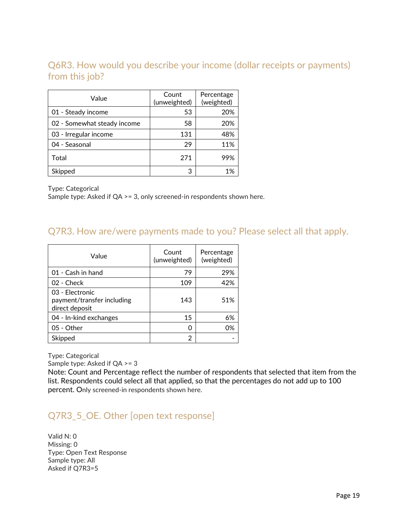# Q6R3. How would you describe your income (dollar receipts or payments) from this job?

| Value                       | Count<br>(unweighted) | Percentage<br>(weighted) |
|-----------------------------|-----------------------|--------------------------|
| 01 - Steady income          | 53                    | 20%                      |
| 02 - Somewhat steady income | 58                    | 20%                      |
| 03 - Irregular income       | 131                   | 48%                      |
| 04 - Seasonal               | 29                    | 11%                      |
| Total                       | 271                   | 99%                      |
| Skipped                     | З                     | 1%                       |

Type: Categorical

Sample type: Asked if QA >= 3, only screened-in respondents shown here.

#### Q7R3. How are/were payments made to you? Please select all that apply.

| Value                                                           | Count<br>(unweighted) | Percentage<br>(weighted) |
|-----------------------------------------------------------------|-----------------------|--------------------------|
| 01 - Cash in hand                                               | 79                    | 29%                      |
| 02 - Check                                                      | 109                   | 42%                      |
| 03 - Electronic<br>payment/transfer including<br>direct deposit | 143                   | 51%                      |
| 04 - In-kind exchanges                                          | 15                    | 6%                       |
| 05 - Other                                                      | n                     | 0%                       |
| Skipped                                                         | 2                     |                          |

Type: Categorical

Sample type: Asked if QA >= 3

Note: Count and Percentage reflect the number of respondents that selected that item from the list. Respondents could select all that applied, so that the percentages do not add up to 100 percent. Only screened-in respondents shown here.

### Q7R3\_5\_OE. Other [open text response]

Valid N: 0 Missing: 0 Type: Open Text Response Sample type: All Asked if Q7R3=5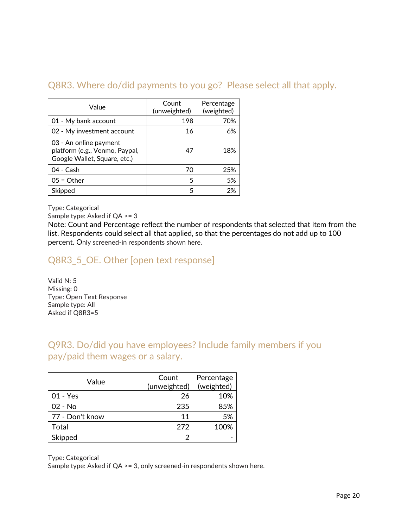# Q8R3. Where do/did payments to you go? Please select all that apply.

| Value                                                                                    | Count<br>(unweighted) | Percentage<br>(weighted) |
|------------------------------------------------------------------------------------------|-----------------------|--------------------------|
| 01 - My bank account                                                                     | 198                   | 70%                      |
| 02 - My investment account                                                               | 16                    | 6%                       |
| 03 - An online payment<br>platform (e.g., Venmo, Paypal,<br>Google Wallet, Square, etc.) | 47                    | 18%                      |
| 04 - Cash                                                                                | 70                    | 25%                      |
| $05 = Other$                                                                             | 5                     | 5%                       |
| Skipped                                                                                  | 5                     | 2%                       |

Type: Categorical

Sample type: Asked if QA >= 3

Note: Count and Percentage reflect the number of respondents that selected that item from the list. Respondents could select all that applied, so that the percentages do not add up to 100 percent. Only screened-in respondents shown here.

# Q8R3\_5\_OE. Other [open text response]

Valid N: 5 Missing: 0 Type: Open Text Response Sample type: All Asked if Q8R3=5

### Q9R3. Do/did you have employees? Include family members if you pay/paid them wages or a salary.

| Value           | Count<br>(unweighted) | Percentage<br>(weighted) |
|-----------------|-----------------------|--------------------------|
| 01 - Yes        | 26                    | 10%                      |
| 02 - No         | 235                   | 85%                      |
| 77 - Don't know | 11                    | 5%                       |
| Total           | 272                   | 100%                     |
| Skipped         |                       |                          |

Type: Categorical

Sample type: Asked if QA >= 3, only screened-in respondents shown here.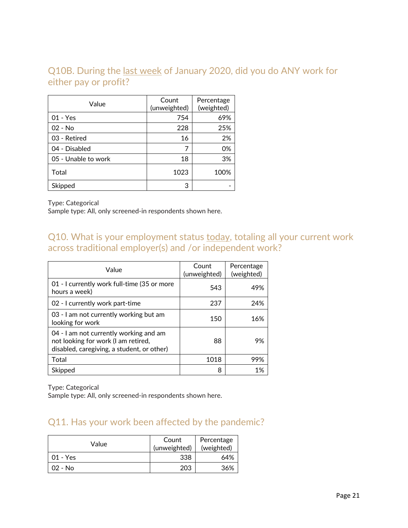# Q10B. During the last week of January 2020, did you do ANY work for either pay or profit?

| Value               | Count<br>(unweighted) | Percentage<br>(weighted) |
|---------------------|-----------------------|--------------------------|
| $01 - Yes$          | 754                   | 69%                      |
| $02 - No$           | 228                   | 25%                      |
| 03 - Retired        | 16                    | 2%                       |
| 04 - Disabled       |                       | 0%                       |
| 05 - Unable to work | 18                    | 3%                       |
| Total               | 1023                  | 100%                     |
| Skipped             | 3                     |                          |

Type: Categorical

Sample type: All, only screened-in respondents shown here.

# Q10. What is your employment status today, totaling all your current work across traditional employer(s) and /or independent work?

| Value                                                                                                                       | Count<br>(unweighted) | Percentage<br>(weighted) |
|-----------------------------------------------------------------------------------------------------------------------------|-----------------------|--------------------------|
| 01 - I currently work full-time (35 or more<br>hours a week)                                                                | 543                   | 49%                      |
| 02 - I currently work part-time                                                                                             | 237                   | 24%                      |
| 03 - I am not currently working but am<br>looking for work                                                                  | 150                   | 16%                      |
| 04 - I am not currently working and am<br>not looking for work (I am retired,<br>disabled, caregiving, a student, or other) | 88                    | 9%                       |
| Total                                                                                                                       | 1018                  | 99%                      |
| Skipped                                                                                                                     | 8                     | 1%                       |

Type: Categorical

Sample type: All, only screened-in respondents shown here.

### Q11. Has your work been affected by the pandemic?

| Value      | Count<br>(unweighted) | Percentage<br>(weighted) |
|------------|-----------------------|--------------------------|
| $01 - Yes$ | 338                   | 64%                      |
| $02 - No$  | 203                   | 36%                      |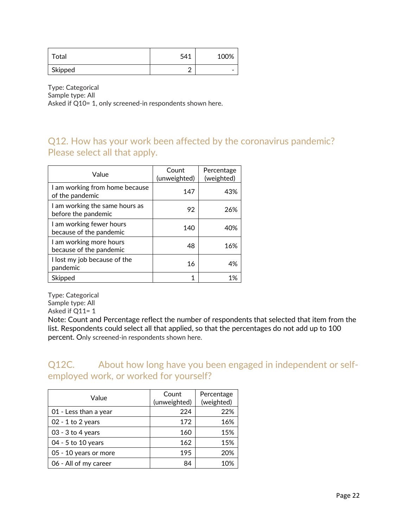| Total   | 541 | 100% |
|---------|-----|------|
| Skipped |     | -    |

Type: Categorical Sample type: All Asked if Q10= 1, only screened-in respondents shown here.

### Q12. How has your work been affected by the coronavirus pandemic? Please select all that apply.

| Value                                                 | Count<br>(unweighted) | Percentage<br>(weighted) |
|-------------------------------------------------------|-----------------------|--------------------------|
| I am working from home because<br>of the pandemic     | 147                   | 43%                      |
| I am working the same hours as<br>before the pandemic | 92                    | 26%                      |
| I am working fewer hours<br>because of the pandemic   | 140                   | 40%                      |
| I am working more hours<br>because of the pandemic    | 48                    | 16%                      |
| I lost my job because of the<br>pandemic              | 16                    | 4%                       |
| Skipped                                               | 1                     | 1%                       |

Type: Categorical Sample type: All Asked if Q11= 1

Note: Count and Percentage reflect the number of respondents that selected that item from the list. Respondents could select all that applied, so that the percentages do not add up to 100 percent. Only screened-in respondents shown here.

Q12C. About how long have you been engaged in independent or selfemployed work, or worked for yourself?

| Value                 | Count<br>(unweighted) | Percentage<br>(weighted) |
|-----------------------|-----------------------|--------------------------|
| 01 - Less than a year | 224                   | 22%                      |
| $02 - 1$ to 2 years   | 172                   | 16%                      |
| $03 - 3$ to 4 years   | 160                   | 15%                      |
| 04 - 5 to 10 years    | 162                   | 15%                      |
| 05 - 10 years or more | 195                   | 20%                      |
| 06 - All of my career | 84                    | 10%                      |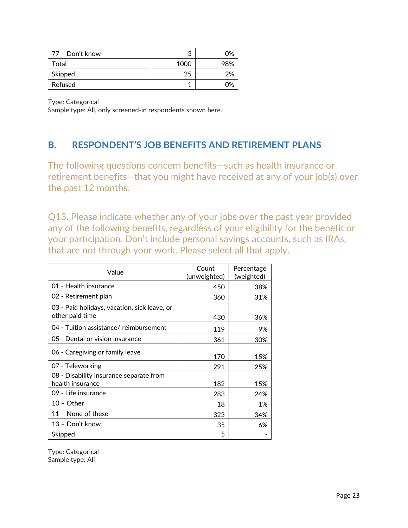| ⊤77 – Don't know | າ<br>J | 0%  |
|------------------|--------|-----|
| Total            | 1000   | 98% |
| Skipped          | 25     | 2%  |
| Refused          |        | በ%  |

Sample type: All, only screened-in respondents shown here.

# **B. RESPONDENT'S JOB BENEFITS AND RETIREMENT PLANS**

The following questions concern benefits—such as health insurance or retirement benefits—that you might have received at any of your job(s) over the past 12 months.

Q13. Please indicate whether any of your jobs over the past year provided any of the following benefits, regardless of your eligibility for the benefit or your participation. Don't include personal savings accounts, such as IRAs, that are not through your work. Please select all that apply.

| Value                                                           | Count<br>(unweighted) | Percentage<br>(weighted) |
|-----------------------------------------------------------------|-----------------------|--------------------------|
| 01 - Health insurance                                           | 450                   | 38%                      |
| 02 - Retirement plan                                            | 360                   | 31%                      |
| 03 - Paid holidays, vacation, sick leave, or<br>other paid time | 430                   | 36%                      |
| 04 - Tuition assistance/ reimbursement                          | 119                   | 9%                       |
| 05 - Dental or vision insurance                                 | 361                   | 30%                      |
| 06 - Caregiving or family leave                                 | 170                   | 15%                      |
| 07 - Teleworking                                                | 291                   | 25%                      |
| 08 - Disability insurance separate from<br>health insurance     | 182                   | 15%                      |
| 09 - Life insurance                                             | 283                   | 24%                      |
| $10 - Other$                                                    | 18                    | 1%                       |
| 11 - None of these                                              | 323                   | 34%                      |
| 13 - Don't know                                                 | 35                    | 6%                       |
| Skipped                                                         | 5                     |                          |

Type: Categorical Sample type: All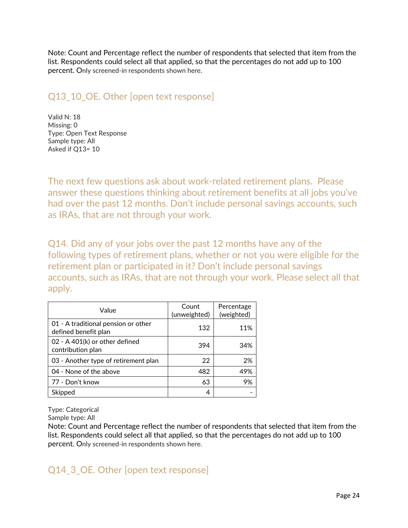Note: Count and Percentage reflect the number of respondents that selected that item from the list. Respondents could select all that applied, so that the percentages do not add up to 100 percent. Only screened-in respondents shown here.

# Q13\_10\_OE. Other [open text response]

Valid N: 18 Missing: 0 Type: Open Text Response Sample type: All Asked if Q13= 10

The next few questions ask about work-related retirement plans. Please answer these questions thinking about retirement benefits at all jobs you've had over the past 12 months. Don't include personal savings accounts, such as IRAs, that are not through your work.

Q14. Did any of your jobs over the past 12 months have any of the following types of retirement plans, whether or not you were eligible for the retirement plan or participated in it? Don't include personal savings accounts, such as IRAs, that are not through your work. Please select all that apply.

| Value                                                       | Count<br>(unweighted) | Percentage<br>(weighted) |
|-------------------------------------------------------------|-----------------------|--------------------------|
| 01 - A traditional pension or other<br>defined benefit plan | 132                   | 11%                      |
| 02 - A 401(k) or other defined<br>contribution plan         | 394                   | 34%                      |
| 03 - Another type of retirement plan                        | 22                    | 2%                       |
| 04 - None of the above                                      | 482                   | 49%                      |
| 77 - Don't know                                             | 63                    | 9%                       |
| Skipped                                                     | 4                     |                          |

Type: Categorical

Sample type: All

Note: Count and Percentage reflect the number of respondents that selected that item from the list. Respondents could select all that applied, so that the percentages do not add up to 100 percent. Only screened-in respondents shown here.

Q14\_3\_OE. Other [open text response]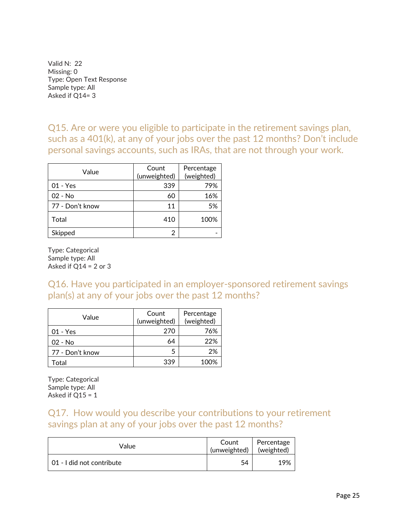Valid N: 22 Missing: 0 Type: Open Text Response Sample type: All Asked if Q14= 3

Q15. Are or were you eligible to participate in the retirement savings plan, such as a 401(k), at any of your jobs over the past 12 months? Don't include personal savings accounts, such as IRAs, that are not through your work.

| Value           | Count<br>(unweighted) | Percentage<br>(weighted) |
|-----------------|-----------------------|--------------------------|
| 01 - Yes        | 339                   | 79%                      |
| $02 - No$       | 60                    | 16%                      |
| 77 - Don't know | 11                    | 5%                       |
| Total           | 410                   | 100%                     |
| Skipped         | 2                     |                          |

Type: Categorical Sample type: All Asked if  $Q14 = 2$  or 3

Q16. Have you participated in an employer-sponsored retirement savings plan(s) at any of your jobs over the past 12 months?

| Value           | Count<br>(unweighted) | Percentage<br>(weighted) |
|-----------------|-----------------------|--------------------------|
| 01 - Yes        | 270                   | 76%                      |
| 02 - No         | 64                    | 22%                      |
| 77 - Don't know | 5                     | 2%                       |
| Total           | 339                   | 100%                     |

Type: Categorical Sample type: All Asked if  $Q15 = 1$ 

### Q17. How would you describe your contributions to your retirement savings plan at any of your jobs over the past 12 months?

| Value                     | Count<br>(unweighted) | Percentage<br>(weighted) |
|---------------------------|-----------------------|--------------------------|
| 01 - I did not contribute | 54                    | 19%                      |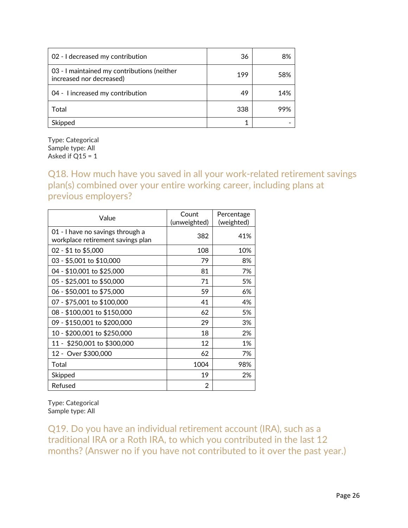| 02 - I decreased my contribution                                        | 36  | 8%  |
|-------------------------------------------------------------------------|-----|-----|
| 03 - I maintained my contributions (neither<br>increased nor decreased) | 199 | 58% |
| 04 - I increased my contribution                                        | 49  | 14% |
| Total                                                                   | 338 | 99% |
| Skipped                                                                 |     |     |

Type: Categorical Sample type: All Asked if  $Q15 = 1$ 

Q18. How much have you saved in all your work-related retirement savings plan(s) combined over your entire working career, including plans at previous employers?

| Value                                                                 | Count<br>(unweighted) | Percentage<br>(weighted) |
|-----------------------------------------------------------------------|-----------------------|--------------------------|
| 01 - I have no savings through a<br>workplace retirement savings plan | 382                   | 41%                      |
| 02 - \$1 to \$5,000                                                   | 108                   | 10%                      |
| 03 - \$5,001 to \$10,000                                              | 79                    | 8%                       |
| 04 - \$10,001 to \$25,000                                             | 81                    | 7%                       |
| 05 - \$25,001 to \$50,000                                             | 71                    | 5%                       |
| 06 - \$50,001 to \$75,000                                             | 59                    | 6%                       |
| 07 - \$75,001 to \$100,000                                            | 41                    | 4%                       |
| 08 - \$100,001 to \$150,000                                           | 62                    | 5%                       |
| 09 - \$150,001 to \$200,000                                           | 29                    | 3%                       |
| 10 - \$200,001 to \$250,000                                           | 18                    | 2%                       |
| 11 - \$250,001 to \$300,000                                           | 12                    | 1%                       |
| 12 - Over \$300,000                                                   | 62                    | 7%                       |
| Total                                                                 | 1004                  | 98%                      |
| Skipped                                                               | 19                    | 2%                       |
| Refused                                                               | 2                     |                          |

Type: Categorical Sample type: All

Q19. Do you have an individual retirement account (IRA), such as a traditional IRA or a Roth IRA, to which you contributed in the last 12 months? (Answer no if you have not contributed to it over the past year.)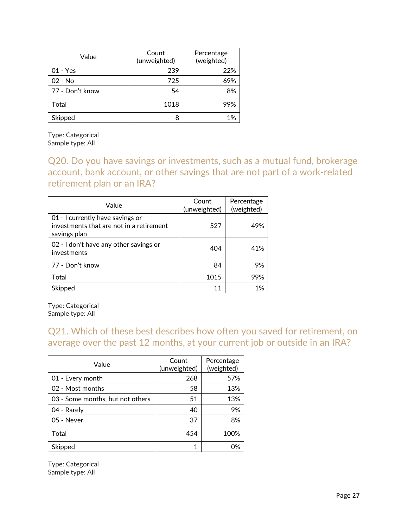| Value           | Count<br>(unweighted) | Percentage<br>(weighted) |
|-----------------|-----------------------|--------------------------|
| 01 - Yes        | 239                   | 22%                      |
| 02 - No         | 725                   | 69%                      |
| 77 - Don't know | 54                    | 8%                       |
| Total           | 1018                  | 99%                      |
| Skipped         | 8                     | 1%                       |

Type: Categorical Sample type: All

Q20. Do you have savings or investments, such as a mutual fund, brokerage account, bank account, or other savings that are not part of a work-related retirement plan or an IRA?

| Value                                                                                        | Count<br>(unweighted) | Percentage<br>(weighted) |
|----------------------------------------------------------------------------------------------|-----------------------|--------------------------|
| 01 - I currently have savings or<br>investments that are not in a retirement<br>savings plan | 527                   | 49%                      |
| 02 - I don't have any other savings or<br>investments                                        | 404                   | 41%                      |
| 77 - Don't know                                                                              | 84                    | 9%                       |
| Total                                                                                        | 1015                  | 99%                      |
| Skipped                                                                                      | 11                    | 1%                       |

Type: Categorical Sample type: All

# Q21. Which of these best describes how often you saved for retirement, on average over the past 12 months, at your current job or outside in an IRA?

| Value                            | Count<br>(unweighted) | Percentage<br>(weighted) |
|----------------------------------|-----------------------|--------------------------|
| 01 - Every month                 | 268                   | 57%                      |
| 02 - Most months                 | 58                    | 13%                      |
| 03 - Some months, but not others | 51                    | 13%                      |
| 04 - Rarely                      | 40                    | 9%                       |
| 05 - Never                       | 37                    | 8%                       |
| Total                            | 454                   | 100%                     |
| Skipped                          | 1                     | 0%                       |

Type: Categorical Sample type: All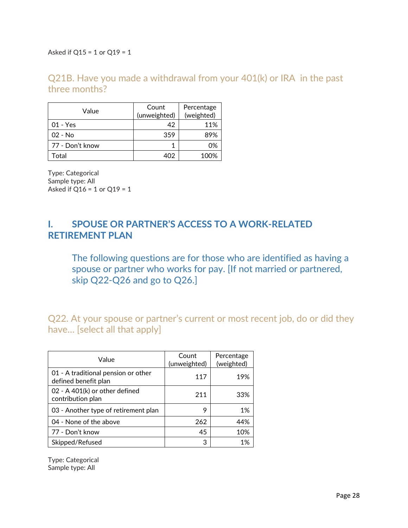Asked if Q15 = 1 or Q19 = 1

### Q21B. Have you made a withdrawal from your 401(k) or IRA in the past three months?

| Value           | Count<br>(unweighted) | Percentage<br>(weighted) |
|-----------------|-----------------------|--------------------------|
| $01 - Yes$      | 42                    | 11%                      |
| $02 - No$       | 359                   | 89%                      |
| 77 - Don't know |                       | 0%                       |
| Total           |                       | 100%                     |

Type: Categorical Sample type: All Asked if  $Q16 = 1$  or  $Q19 = 1$ 

# **I. SPOUSE OR PARTNER'S ACCESS TO A WORK-RELATED RETIREMENT PLAN**

The following questions are for those who are identified as having a spouse or partner who works for pay. [If not married or partnered, skip Q22-Q26 and go to Q26.]

Q22. At your spouse or partner's current or most recent job, do or did they have… [select all that apply]

| Value                                                       | Count<br>(unweighted) | Percentage<br>(weighted) |
|-------------------------------------------------------------|-----------------------|--------------------------|
| 01 - A traditional pension or other<br>defined benefit plan | 117                   | 19%                      |
| 02 - A 401(k) or other defined<br>contribution plan         | 211                   | 33%                      |
| 03 - Another type of retirement plan                        | 9                     | 1%                       |
| 04 - None of the above                                      | 262                   | 44%                      |
| 77 - Don't know                                             | 45                    | 10%                      |
| Skipped/Refused                                             | 3                     | 1%                       |

Type: Categorical Sample type: All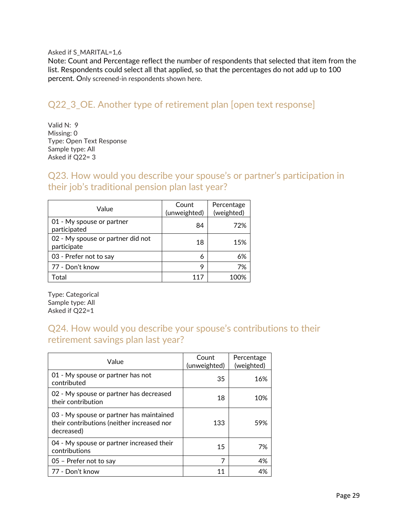#### Asked if S\_MARITAL=1,6

Note: Count and Percentage reflect the number of respondents that selected that item from the list. Respondents could select all that applied, so that the percentages do not add up to 100 percent. Only screened-in respondents shown here.

#### Q22\_3\_OE. Another type of retirement plan [open text response]

Valid N: 9 Missing: 0 Type: Open Text Response Sample type: All Asked if Q22= 3

Q23. How would you describe your spouse's or partner's participation in their job's traditional pension plan last year?

| Value                                            | Count<br>(unweighted) | Percentage<br>(weighted) |
|--------------------------------------------------|-----------------------|--------------------------|
| 01 - My spouse or partner<br>participated        | 84                    | 72%                      |
| 02 - My spouse or partner did not<br>participate | 18                    | 15%                      |
| 03 - Prefer not to say                           | 6                     | 6%                       |
| 77 - Don't know                                  | Q                     | 7%                       |
| Total                                            | 117                   | 100%                     |

Type: Categorical Sample type: All Asked if Q22=1

# Q24. How would you describe your spouse's contributions to their retirement savings plan last year?

| Value                                                                                                | Count<br>(unweighted) | Percentage<br>(weighted) |
|------------------------------------------------------------------------------------------------------|-----------------------|--------------------------|
| 01 - My spouse or partner has not<br>contributed                                                     | 35                    | 16%                      |
| 02 - My spouse or partner has decreased<br>their contribution                                        | 18                    | 10%                      |
| 03 - My spouse or partner has maintained<br>their contributions (neither increased nor<br>decreased) | 133                   | 59%                      |
| 04 - My spouse or partner increased their<br>contributions                                           | 15                    | 7%                       |
| 05 - Prefer not to say                                                                               | 7                     | 4%                       |
| 77 - Don't know                                                                                      | 11                    | 4%                       |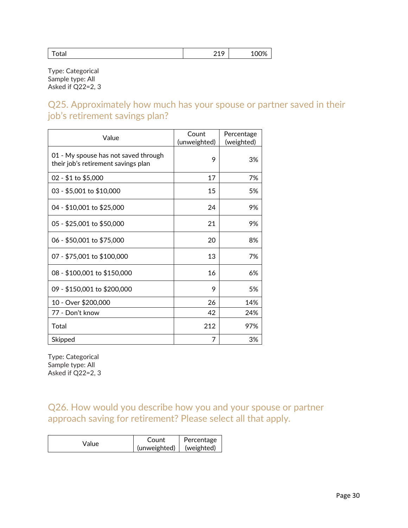|--|

Type: Categorical Sample type: All Asked if Q22=2, 3

Q25. Approximately how much has your spouse or partner saved in their job's retirement savings plan?

| Value                                                                       | Count<br>(unweighted) | Percentage<br>(weighted) |
|-----------------------------------------------------------------------------|-----------------------|--------------------------|
| 01 - My spouse has not saved through<br>their job's retirement savings plan | 9                     | 3%                       |
| 02 - \$1 to \$5,000                                                         | 17                    | 7%                       |
| 03 - \$5,001 to \$10,000                                                    | 15                    | 5%                       |
| 04 - \$10,001 to \$25,000                                                   | 24                    | 9%                       |
| 05 - \$25,001 to \$50,000                                                   | 21                    | 9%                       |
| 06 - \$50,001 to \$75,000                                                   | 20                    | 8%                       |
| 07 - \$75,001 to \$100,000                                                  | 13                    | 7%                       |
| 08 - \$100,001 to \$150,000                                                 | 16                    | 6%                       |
| 09 - \$150,001 to \$200,000                                                 | 9                     | 5%                       |
| 10 - Over \$200,000                                                         | 26                    | 14%                      |
| 77 - Don't know                                                             | 42                    | 24%                      |
| Total                                                                       | 212                   | 97%                      |
| Skipped                                                                     | 7                     | 3%                       |

Type: Categorical Sample type: All Asked if Q22=2, 3

Q26. How would you describe how you and your spouse or partner approach saving for retirement? Please select all that apply.

| Value | Count        | Percentage |
|-------|--------------|------------|
|       | (unweighted) | (weighted) |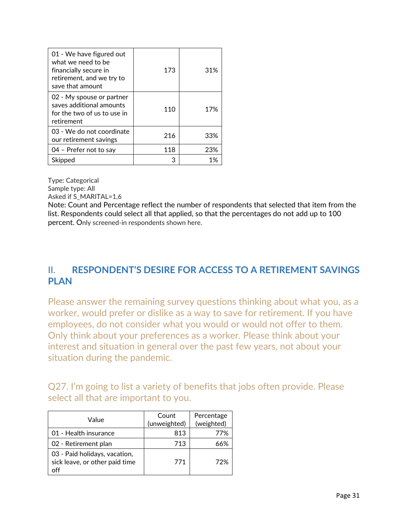| 01 - We have figured out<br>what we need to be<br>financially secure in<br>retirement, and we try to<br>save that amount | 173 | 31% |
|--------------------------------------------------------------------------------------------------------------------------|-----|-----|
| 02 - My spouse or partner<br>saves additional amounts<br>for the two of us to use in<br>retirement                       | 110 | 17% |
| 03 - We do not coordinate<br>our retirement savings                                                                      | 216 | 33% |
| 04 - Prefer not to say                                                                                                   | 118 | 23% |
| Skipped                                                                                                                  |     | 1%  |

Sample type: All

Asked if S\_MARITAL=1,6

Note: Count and Percentage reflect the number of respondents that selected that item from the list. Respondents could select all that applied, so that the percentages do not add up to 100 percent. Only screened-in respondents shown here.

# II. **RESPONDENT'S DESIRE FOR ACCESS TO A RETIREMENT SAVINGS PLAN**

Please answer the remaining survey questions thinking about what you, as a worker, would prefer or dislike as a way to save for retirement. If you have employees, do not consider what you would or would not offer to them. Only think about your preferences as a worker. Please think about your interest and situation in general over the past few years, not about your situation during the pandemic.

Q27. I'm going to list a variety of benefits that jobs often provide. Please select all that are important to you.

| Value                                                                  | Count<br>(unweighted) | Percentage<br>(weighted) |
|------------------------------------------------------------------------|-----------------------|--------------------------|
| 01 - Health insurance                                                  | 813                   | 77%                      |
| 02 - Retirement plan                                                   | 713                   | 66%                      |
| 03 - Paid holidays, vacation,<br>sick leave, or other paid time<br>off | 771                   | 72%                      |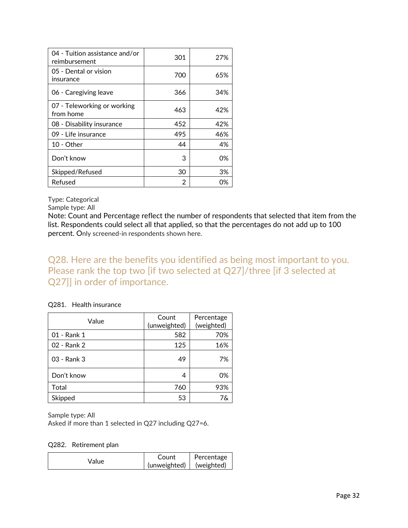| 04 - Tuition assistance and/or<br>reimbursement | 301 | 27% |
|-------------------------------------------------|-----|-----|
| 05 - Dental or vision<br>insurance              | 700 | 65% |
| 06 - Caregiving leave                           | 366 | 34% |
| 07 - Teleworking or working<br>from home        | 463 | 42% |
| 08 - Disability insurance                       | 452 | 42% |
| 09 - Life insurance                             | 495 | 46% |
| $10 - Other$                                    | 44  | 4%  |
| Don't know                                      | 3   | 0%  |
| Skipped/Refused                                 | 30  | 3%  |
| Refused                                         | 2   | 0%  |

Sample type: All

Note: Count and Percentage reflect the number of respondents that selected that item from the list. Respondents could select all that applied, so that the percentages do not add up to 100 percent. Only screened-in respondents shown here.

Q28. Here are the benefits you identified as being most important to you. Please rank the top two [if two selected at Q27]/three [if 3 selected at Q27]] in order of importance.

#### Q281. Health insurance

| Value       | Count<br>(unweighted) | Percentage<br>(weighted) |
|-------------|-----------------------|--------------------------|
| 01 - Rank 1 | 582                   | 70%                      |
| 02 - Rank 2 | 125                   | 16%                      |
| 03 - Rank 3 | 49                    | 7%                       |
| Don't know  | 4                     | 0%                       |
| Total       | 760                   | 93%                      |
| Skipped     | 53                    | 7&                       |

Sample type: All

Asked if more than 1 selected in Q27 including Q27=6.

#### Q282. Retirement plan

| Value | Count        | Percentage |
|-------|--------------|------------|
|       | (unweighted) | (weighted) |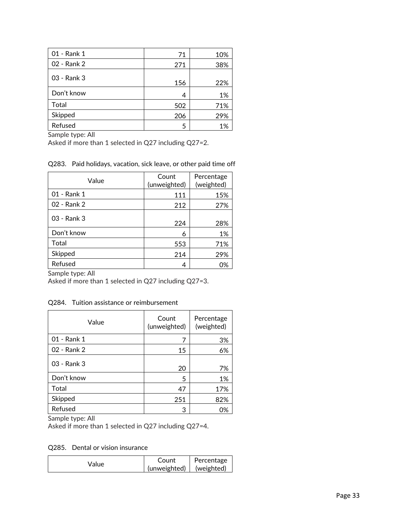| 01 - Rank 1 | 71  | 10% |
|-------------|-----|-----|
| 02 - Rank 2 | 271 | 38% |
| 03 - Rank 3 | 156 | 22% |
| Don't know  | 4   | 1%  |
| Total       | 502 | 71% |
| Skipped     | 206 | 29% |
| Refused     | 5   | 1%  |

Sample type: All

Asked if more than 1 selected in Q27 including Q27=2.

Q283. Paid holidays, vacation, sick leave, or other paid time off

| Value       | Count<br>(unweighted) | Percentage<br>(weighted) |
|-------------|-----------------------|--------------------------|
| 01 - Rank 1 | 111                   | 15%                      |
| 02 - Rank 2 | 212                   | 27%                      |
| 03 - Rank 3 | 224                   | 28%                      |
| Don't know  | 6                     | 1%                       |
| Total       | 553                   | 71%                      |
| Skipped     | 214                   | 29%                      |
| Refused     | 4                     | 0%                       |

Sample type: All

Asked if more than 1 selected in Q27 including Q27=3.

Q284. Tuition assistance or reimbursement

| Value       | Count<br>(unweighted) | Percentage<br>(weighted) |
|-------------|-----------------------|--------------------------|
| 01 - Rank 1 |                       | 3%                       |
| 02 - Rank 2 | 15                    | 6%                       |
| 03 - Rank 3 | 20                    | 7%                       |
| Don't know  | 5                     | 1%                       |
| Total       | 47                    | 17%                      |
| Skipped     | 251                   | 82%                      |
| Refused     | З                     | 0%                       |

Sample type: All

Asked if more than 1 selected in Q27 including Q27=4.

Q285. Dental or vision insurance

| Value | Count                     | Percentage |  |
|-------|---------------------------|------------|--|
|       | (unweighted)   (weighted) |            |  |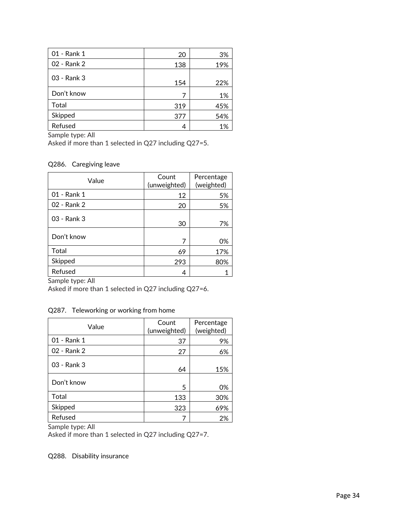| 01 - Rank 1 | 20  | 3%  |
|-------------|-----|-----|
| 02 - Rank 2 | 138 | 19% |
| 03 - Rank 3 | 154 | 22% |
| Don't know  |     | 1%  |
| Total       | 319 | 45% |
| Skipped     | 377 | 54% |
| Refused     | 4   | 1%  |

Sample type: All

Asked if more than 1 selected in Q27 including Q27=5.

#### Q286. Caregiving leave

| Value       | Count<br>(unweighted) | Percentage<br>(weighted) |
|-------------|-----------------------|--------------------------|
| 01 - Rank 1 | 12                    | 5%                       |
| 02 - Rank 2 | 20                    | 5%                       |
| 03 - Rank 3 | 30                    | 7%                       |
| Don't know  | 7                     | 0%                       |
| Total       | 69                    | 17%                      |
| Skipped     | 293                   | 80%                      |
| Refused     | 4                     |                          |

Sample type: All

Asked if more than 1 selected in Q27 including Q27=6.

#### Q287. Teleworking or working from home

| Value       | Count<br>(unweighted) | Percentage<br>(weighted) |
|-------------|-----------------------|--------------------------|
| 01 - Rank 1 | 37                    | 9%                       |
| 02 - Rank 2 | 27                    | 6%                       |
| 03 - Rank 3 | 64                    | 15%                      |
| Don't know  | 5                     | 0%                       |
| Total       | 133                   | 30%                      |
| Skipped     | 323                   | 69%                      |
| Refused     |                       | 2%                       |

Sample type: All

Asked if more than 1 selected in Q27 including Q27=7.

#### Q288. Disability insurance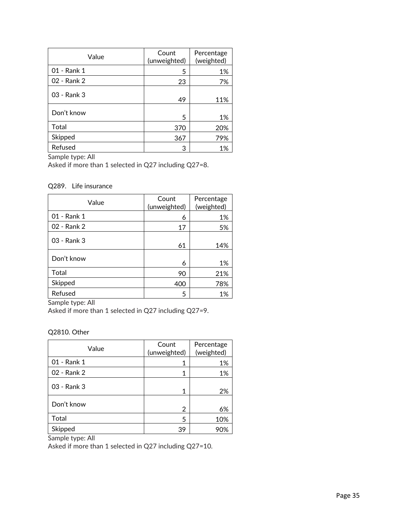| Value       | Count<br>(unweighted) | Percentage<br>(weighted) |
|-------------|-----------------------|--------------------------|
| 01 - Rank 1 | 5                     | 1%                       |
| 02 - Rank 2 | 23                    | 7%                       |
| 03 - Rank 3 | 49                    | 11%                      |
| Don't know  | 5                     | 1%                       |
| Total       | 370                   | 20%                      |
| Skipped     | 367                   | 79%                      |
| Refused     | 3                     | 1%                       |

Sample type: All

Asked if more than 1 selected in Q27 including Q27=8.

#### Q289. Life insurance

| Value       | Count<br>(unweighted) | Percentage<br>(weighted) |
|-------------|-----------------------|--------------------------|
| 01 - Rank 1 | 6                     | 1%                       |
| 02 - Rank 2 | 17                    | 5%                       |
| 03 - Rank 3 | 61                    | 14%                      |
| Don't know  | 6                     | 1%                       |
| Total       | 90                    | 21%                      |
| Skipped     | 400                   | 78%                      |
| Refused     | 5                     | 1%                       |

Sample type: All

Asked if more than 1 selected in Q27 including Q27=9.

#### Q2810. Other

| Value       | Count<br>(unweighted) | Percentage<br>(weighted) |
|-------------|-----------------------|--------------------------|
| 01 - Rank 1 | 1                     | 1%                       |
| 02 - Rank 2 | 1                     | 1%                       |
| 03 - Rank 3 | 1                     | 2%                       |
| Don't know  | 2                     | 6%                       |
| Total       | 5                     | 10%                      |
| Skipped     | 39                    |                          |

Sample type: All

Asked if more than 1 selected in Q27 including Q27=10.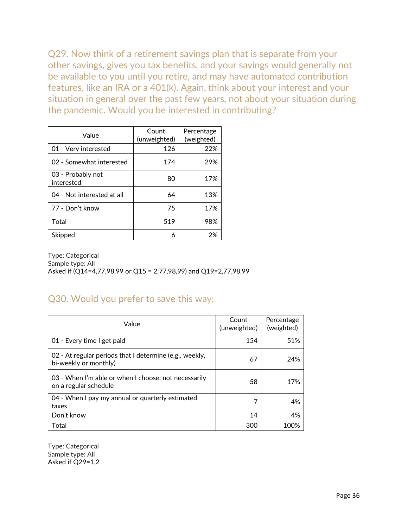Q29. Now think of a retirement savings plan that is separate from your other savings, gives you tax benefits, and your savings would generally not be available to you until you retire, and may have automated contribution features, like an IRA or a 401(k). Again, think about your interest and your situation in general over the past few years, not about your situation during the pandemic. Would you be interested in contributing?

| Value                           | Count<br>(unweighted) | Percentage<br>(weighted) |
|---------------------------------|-----------------------|--------------------------|
| 01 - Very interested            | 126                   | 22%                      |
| 02 - Somewhat interested        | 174                   | 29%                      |
| 03 - Probably not<br>interested | 80                    | 17%                      |
| 04 - Not interested at all      | 64                    | 13%                      |
| 77 - Don't know                 | 75                    | 17%                      |
| Total                           | 519                   | 98%                      |
| Skipped                         | 6                     | 2%                       |

Type: Categorical Sample type: All Asked if (Q14=4,77,98,99 or Q15 = 2,77,98,99) and Q19=2,77,98,99

### Q30. Would you prefer to save this way:

| Value                                                                            | Count<br>(unweighted) | Percentage<br>(weighted) |
|----------------------------------------------------------------------------------|-----------------------|--------------------------|
| 01 - Every time I get paid                                                       | 154                   | 51%                      |
| 02 - At regular periods that I determine (e.g., weekly,<br>bi-weekly or monthly) | 67                    | 24%                      |
| 03 - When I'm able or when I choose, not necessarily<br>on a regular schedule    | 58                    | 17%                      |
| 04 - When I pay my annual or quarterly estimated<br>taxes                        | 7                     | 4%                       |
| Don't know                                                                       | 14                    | 4%                       |
| Total                                                                            | 300                   | 100%                     |

Type: Categorical Sample type: All Asked if Q29=1,2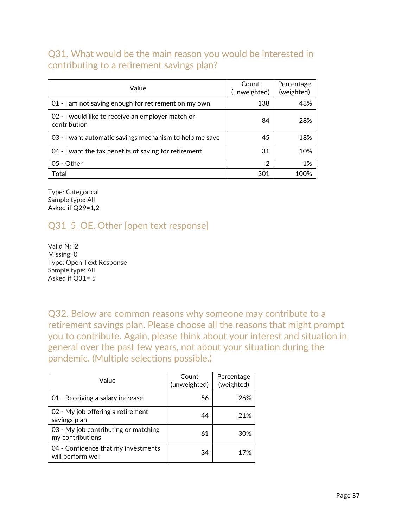### Q31. What would be the main reason you would be interested in contributing to a retirement savings plan?

| Value                                                             | Count<br>(unweighted) | Percentage<br>(weighted) |
|-------------------------------------------------------------------|-----------------------|--------------------------|
| 01 - I am not saving enough for retirement on my own              | 138                   | 43%                      |
| 02 - I would like to receive an employer match or<br>contribution | 84                    | 28%                      |
| 03 - I want automatic savings mechanism to help me save           | 45                    | 18%                      |
| 04 - I want the tax benefits of saving for retirement             | 31                    | 10%                      |
| 05 - Other                                                        | $\overline{2}$        | 1%                       |
| Total                                                             | 301                   | 100%                     |

Type: Categorical Sample type: All Asked if Q29=1,2

# Q31\_5\_OE. Other [open text response]

Valid N: 2 Missing: 0 Type: Open Text Response Sample type: All Asked if Q31= 5

Q32. Below are common reasons why someone may contribute to a retirement savings plan. Please choose all the reasons that might prompt you to contribute. Again, please think about your interest and situation in general over the past few years, not about your situation during the pandemic. (Multiple selections possible.)

| Value                                                    | Count<br>(unweighted) | Percentage<br>(weighted) |
|----------------------------------------------------------|-----------------------|--------------------------|
| 01 - Receiving a salary increase                         | 56                    | 26%                      |
| 02 - My job offering a retirement<br>savings plan        | 44                    | 21%                      |
| 03 - My job contributing or matching<br>my contributions | 61                    | 30%                      |
| 04 - Confidence that my investments<br>will perform well | 34                    | 17%                      |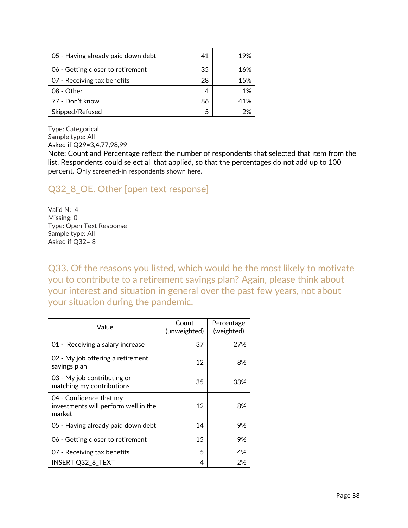| 05 - Having already paid down debt | 41 | 19% |
|------------------------------------|----|-----|
| 06 - Getting closer to retirement  | 35 | 16% |
| 07 - Receiving tax benefits        | 28 | 15% |
| 08 - Other                         |    | 1%  |
| 77 - Don't know                    | 86 | 41% |
| Skipped/Refused                    |    |     |

Sample type: All Asked if Q29=3,4,77,98,99

Note: Count and Percentage reflect the number of respondents that selected that item from the list. Respondents could select all that applied, so that the percentages do not add up to 100 percent. Only screened-in respondents shown here.

# Q32\_8\_OE. Other [open text response]

Valid N: 4 Missing: 0 Type: Open Text Response Sample type: All Asked if Q32= 8

Q33. Of the reasons you listed, which would be the most likely to motivate you to contribute to a retirement savings plan? Again, please think about your interest and situation in general over the past few years, not about your situation during the pandemic.

| Value                                                                     | Count<br>(unweighted) | Percentage<br>(weighted) |
|---------------------------------------------------------------------------|-----------------------|--------------------------|
| 01 - Receiving a salary increase                                          | 37                    | 27%                      |
| 02 - My job offering a retirement<br>savings plan                         | 12                    | 8%                       |
| 03 - My job contributing or<br>matching my contributions                  | 35                    | 33%                      |
| 04 - Confidence that my<br>investments will perform well in the<br>market | 12                    | 8%                       |
| 05 - Having already paid down debt                                        | 14                    | 9%                       |
| 06 - Getting closer to retirement                                         | 15                    | 9%                       |
| 07 - Receiving tax benefits                                               | 5                     | 4%                       |
| <b>INSERT Q32 8 TEXT</b>                                                  | 4                     | 2%                       |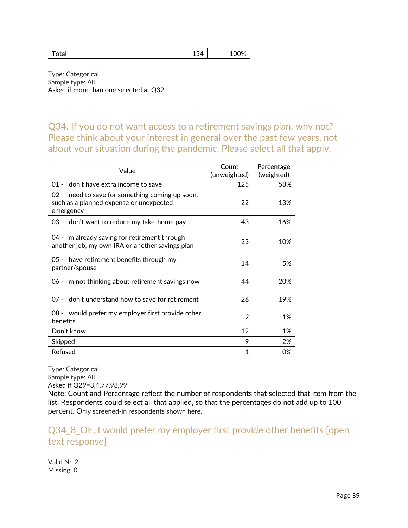| Uldi | $\sim$<br>≺∠ı<br>∸∽ ' | 1000<br>∸∽ |
|------|-----------------------|------------|
|------|-----------------------|------------|

Type: Categorical Sample type: All Asked if more than one selected at Q32

Q34. If you do not want access to a retirement savings plan, why not? Please think about your interest in general over the past few years, not about your situation during the pandemic. Please select all that apply.

| Value                                                                                                     | Count<br>(unweighted) | Percentage<br>(weighted) |
|-----------------------------------------------------------------------------------------------------------|-----------------------|--------------------------|
| 01 - I don't have extra income to save                                                                    | 125                   | 58%                      |
| 02 - I need to save for something coming up soon,<br>such as a planned expense or unexpected<br>emergency | 22                    | 13%                      |
| 03 - I don't want to reduce my take-home pay                                                              | 43                    | 16%                      |
| 04 - I'm already saving for retirement through<br>another job, my own IRA or another savings plan         | 23                    | 10%                      |
| 05 - I have retirement benefits through my<br>partner/spouse                                              | 14                    | 5%                       |
| 06 - I'm not thinking about retirement savings now                                                        | 44                    | 20%                      |
| 07 - I don't understand how to save for retirement                                                        | 26                    | 19%                      |
| 08 - I would prefer my employer first provide other<br>benefits                                           | 2                     | 1%                       |
| Don't know                                                                                                | 12                    | 1%                       |
| Skipped                                                                                                   | 9                     | 2%                       |
| Refused                                                                                                   | 1                     | 0%                       |

Type: Categorical Sample type: All Asked if Q29=3,4,77,98,99

Note: Count and Percentage reflect the number of respondents that selected that item from the list. Respondents could select all that applied, so that the percentages do not add up to 100 percent. Only screened-in respondents shown here.

Q34\_8\_OE. I would prefer my employer first provide other benefits [open text response]

Valid N: 2 Missing: 0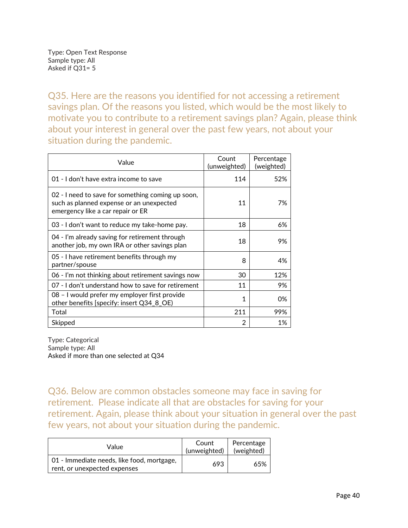Q35. Here are the reasons you identified for not accessing a retirement savings plan. Of the reasons you listed, which would be the most likely to motivate you to contribute to a retirement savings plan? Again, please think about your interest in general over the past few years, not about your situation during the pandemic.

| Value                                                                                                                              | Count<br>(unweighted) | Percentage<br>(weighted) |
|------------------------------------------------------------------------------------------------------------------------------------|-----------------------|--------------------------|
| 01 - I don't have extra income to save                                                                                             | 114                   | 52%                      |
| 02 - I need to save for something coming up soon,<br>such as planned expense or an unexpected<br>emergency like a car repair or ER | 11                    | 7%                       |
| 03 - I don't want to reduce my take-home pay.                                                                                      | 18                    | 6%                       |
| 04 - I'm already saving for retirement through<br>another job, my own IRA or other savings plan                                    | 18                    | 9%                       |
| 05 - I have retirement benefits through my<br>partner/spouse                                                                       | 8                     | 4%                       |
| 06 - I'm not thinking about retirement savings now                                                                                 | 30                    | 12%                      |
| 07 - I don't understand how to save for retirement                                                                                 | 11                    | 9%                       |
| 08 - I would prefer my employer first provide<br>other benefits [specify: insert Q34_8_OE)                                         | 1                     | 0%                       |
| Total                                                                                                                              | 211                   | 99%                      |
| Skipped                                                                                                                            | 2                     | 1%                       |

Type: Categorical Sample type: All Asked if more than one selected at Q34

Q36. Below are common obstacles someone may face in saving for retirement. Please indicate all that are obstacles for saving for your retirement. Again, please think about your situation in general over the past few years, not about your situation during the pandemic.

| Value                                                                      | Count<br>(unweighted) | Percentage<br>(weighted) |
|----------------------------------------------------------------------------|-----------------------|--------------------------|
| 01 - Immediate needs, like food, mortgage,<br>rent, or unexpected expenses | 693                   | 65%                      |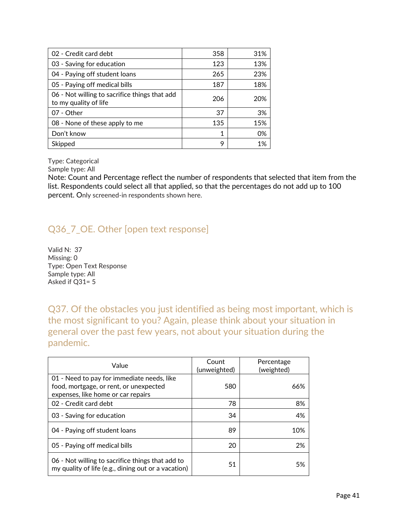| 02 - Credit card debt                                                  | 358 | 31% |
|------------------------------------------------------------------------|-----|-----|
| 03 - Saving for education                                              | 123 | 13% |
| 04 - Paying off student loans                                          | 265 | 23% |
| 05 - Paying off medical bills                                          | 187 | 18% |
| 06 - Not willing to sacrifice things that add<br>to my quality of life | 206 | 20% |
| 07 - Other                                                             | 37  | 3%  |
| 08 - None of these apply to me                                         | 135 | 15% |
| Don't know                                                             | 1   | 0%  |
| Skipped                                                                | 9   | 1%  |

Sample type: All

Note: Count and Percentage reflect the number of respondents that selected that item from the list. Respondents could select all that applied, so that the percentages do not add up to 100 percent. Only screened-in respondents shown here.

# Q36\_7\_OE. Other [open text response]

Valid N: 37 Missing: 0 Type: Open Text Response Sample type: All Asked if Q31= 5

Q37. Of the obstacles you just identified as being most important, which is the most significant to you? Again, please think about your situation in general over the past few years, not about your situation during the pandemic.

| Value                                                                                                                      | Count<br>(unweighted) | Percentage<br>(weighted) |
|----------------------------------------------------------------------------------------------------------------------------|-----------------------|--------------------------|
| 01 - Need to pay for immediate needs, like<br>food, mortgage, or rent, or unexpected<br>expenses, like home or car repairs | 580                   | 66%                      |
| 02 - Credit card debt                                                                                                      | 78                    | 8%                       |
| 03 - Saving for education                                                                                                  | 34                    | 4%                       |
| 04 - Paying off student loans                                                                                              | 89                    | 10%                      |
| 05 - Paying off medical bills                                                                                              | 20                    | 2%                       |
| 06 - Not willing to sacrifice things that add to<br>my quality of life (e.g., dining out or a vacation)                    | 51                    | 5%                       |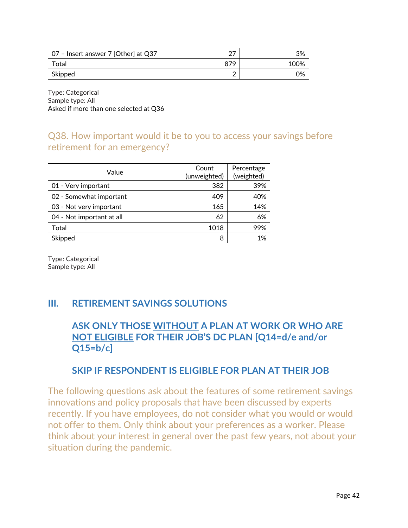| 07 - Insert answer 7 [Other] at Q37 | ∩¬  | 3%   |
|-------------------------------------|-----|------|
| Total                               | 879 | 100% |
| Skipped                             |     | 0%   |

Type: Categorical Sample type: All Asked if more than one selected at Q36

# Q38. How important would it be to you to access your savings before retirement for an emergency?

| Value                     | Count<br>(unweighted) | Percentage<br>(weighted) |
|---------------------------|-----------------------|--------------------------|
| 01 - Very important       | 382                   | 39%                      |
| 02 - Somewhat important   | 409                   | 40%                      |
| 03 - Not very important   | 165                   | 14%                      |
| 04 - Not important at all | 62                    | 6%                       |
| Total                     | 1018                  | 99%                      |
| Skipped                   | 8                     | 1%                       |

Type: Categorical Sample type: All

# **III. RETIREMENT SAVINGS SOLUTIONS**

# **ASK ONLY THOSE WITHOUT A PLAN AT WORK OR WHO ARE NOT ELIGIBLE FOR THEIR JOB'S DC PLAN [Q14=d/e and/or Q15=b/c]**

### **SKIP IF RESPONDENT IS ELIGIBLE FOR PLAN AT THEIR JOB**

The following questions ask about the features of some retirement savings innovations and policy proposals that have been discussed by experts recently. If you have employees, do not consider what you would or would not offer to them. Only think about your preferences as a worker. Please think about your interest in general over the past few years, not about your situation during the pandemic.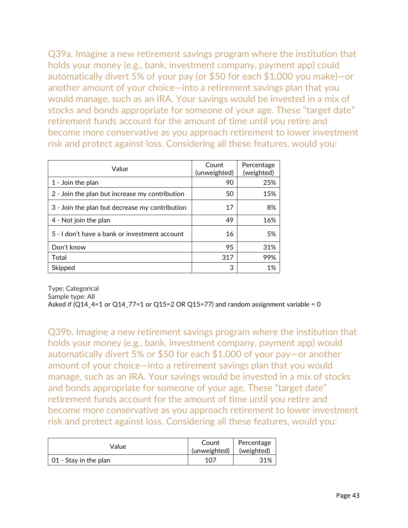Q39a. Imagine a new retirement savings program where the institution that holds your money (e.g., bank, investment company, payment app) could automatically divert 5% of your pay (or \$50 for each \$1,000 you make)—or another amount of your choice—into a retirement savings plan that you would manage, such as an IRA. Your savings would be invested in a mix of stocks and bonds appropriate for someone of your age. These "target date" retirement funds account for the amount of time until you retire and become more conservative as you approach retirement to lower investment risk and protect against loss. Considering all these features, would you:

| Value                                          | Count<br>(unweighted) | Percentage<br>(weighted) |
|------------------------------------------------|-----------------------|--------------------------|
| 1 - Join the plan                              | 90                    | 25%                      |
| 2 - Join the plan but increase my contribution | 50                    | 15%                      |
| 3 - Join the plan but decrease my contribution | 17                    | 8%                       |
| 4 - Not join the plan                          | 49                    | 16%                      |
| 5 - I don't have a bank or investment account  | 16                    | 5%                       |
| Don't know                                     | 95                    | 31%                      |
| Total                                          | 317                   | 99%                      |
| Skipped                                        | 3                     | 1%                       |

Type: Categorical Sample type: All Asked if  $(Q14_4=1$  or  $Q14_7=1$  or  $Q15=2$  OR  $Q15=77$ ) and random assignment variable = 0

Q39b. Imagine a new retirement savings program where the institution that holds your money (e.g., bank, investment company, payment app) would automatically divert 5% or \$50 for each \$1,000 of your pay—or another amount of your choice—into a retirement savings plan that you would manage, such as an IRA. Your savings would be invested in a mix of stocks and bonds appropriate for someone of your age. These "target date" retirement funds account for the amount of time until you retire and become more conservative as you approach retirement to lower investment risk and protect against loss. Considering all these features, would you:

| Value                 | Count<br>(unweighted) | Percentage<br>(weighted) |
|-----------------------|-----------------------|--------------------------|
| 01 - Stay in the plan | 107                   | 31%                      |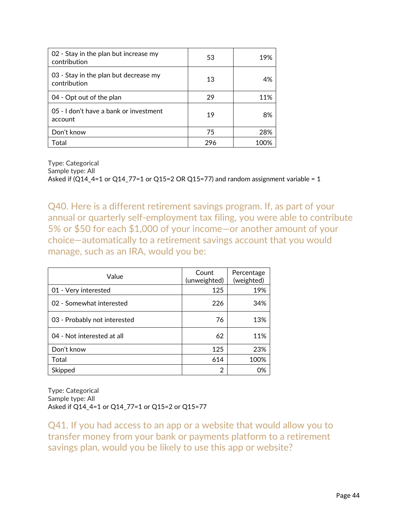| 02 - Stay in the plan but increase my<br>contribution | 53  | 19%   |
|-------------------------------------------------------|-----|-------|
| 03 - Stay in the plan but decrease my<br>contribution | 13  | 4%    |
| 04 - Opt out of the plan                              | 29  | 11%   |
| 05 - I don't have a bank or investment<br>account     | 19  | 8%    |
| Don't know                                            | 75  | 28%   |
| Total                                                 | 296 | 1 በበ% |

Sample type: All

Asked if (Q14\_4=1 or Q14\_77=1 or Q15=2 OR Q15=77) and random assignment variable = 1

Q40. Here is a different retirement savings program. If, as part of your annual or quarterly self-employment tax filing, you were able to contribute 5% or \$50 for each \$1,000 of your income—or another amount of your choice—automatically to a retirement savings account that you would manage, such as an IRA, would you be:

| Value                        | Count<br>(unweighted) | Percentage<br>(weighted) |
|------------------------------|-----------------------|--------------------------|
| 01 - Very interested         | 125                   | 19%                      |
| 02 - Somewhat interested     | 226                   | 34%                      |
| 03 - Probably not interested | 76                    | 13%                      |
| 04 - Not interested at all   | 62                    | 11%                      |
| Don't know                   | 125                   | 23%                      |
| Total                        | 614                   | 100%                     |
| Skipped                      | 2                     | 0%                       |

Type: Categorical Sample type: All Asked if Q14\_4=1 or Q14\_77=1 or Q15=2 or Q15=77

Q41. If you had access to an app or a website that would allow you to transfer money from your bank or payments platform to a retirement savings plan, would you be likely to use this app or website?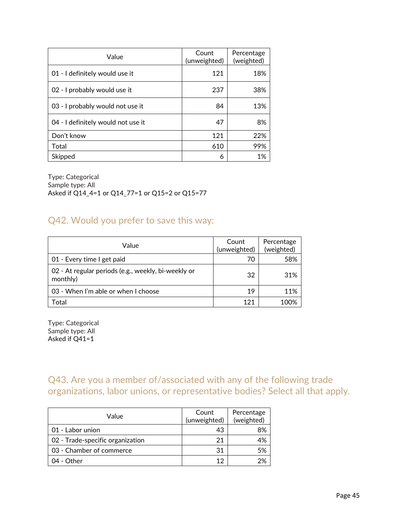| Value                              | Count<br>(unweighted) | Percentage<br>(weighted) |
|------------------------------------|-----------------------|--------------------------|
| 01 - I definitely would use it     | 121                   | 18%                      |
| 02 - I probably would use it       | 237                   | 38%                      |
| 03 - I probably would not use it   | 84                    | 13%                      |
| 04 - I definitely would not use it | 47                    | 8%                       |
| Don't know                         | 121                   | 22%                      |
| Total                              | 610                   | 99%                      |
| Skipped                            | 6                     | 1%                       |

Type: Categorical Sample type: All Asked if Q14\_4=1 or Q14\_77=1 or Q15=2 or Q15=77

# Q42. Would you prefer to save this way:

| Value                                                           | Count<br>(unweighted) | Percentage<br>(weighted) |
|-----------------------------------------------------------------|-----------------------|--------------------------|
| 01 - Every time I get paid                                      | 70                    | 58%                      |
| 02 - At regular periods (e.g., weekly, bi-weekly or<br>monthly) | 32                    | 31%                      |
| 03 - When I'm able or when I choose                             | 19                    | 11%                      |
| Total                                                           | 121                   | 100%                     |

Type: Categorical Sample type: All Asked if Q41=1

Q43. Are you a member of/associated with any of the following trade organizations, labor unions, or representative bodies? Select all that apply.

| Value                            | Count<br>(unweighted) | Percentage<br>(weighted) |
|----------------------------------|-----------------------|--------------------------|
| 01 - Labor union                 | 43                    | 8%                       |
| 02 - Trade-specific organization | 21                    | 4%                       |
| 03 - Chamber of commerce         | 31                    | 5%                       |
| 04 - Other                       | 12                    | 2%                       |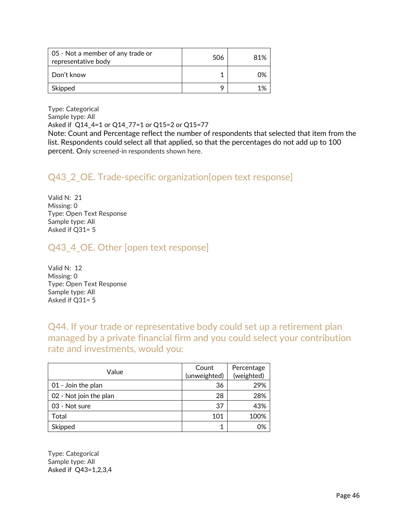| 05 - Not a member of any trade or<br>representative body | 506 | 81% |
|----------------------------------------------------------|-----|-----|
| Don't know                                               |     | በ%  |
| Skipped                                                  |     |     |

Type: Categorical Sample type: All Asked if Q14\_4=1 or Q14\_77=1 or Q15=2 or Q15=77

Note: Count and Percentage reflect the number of respondents that selected that item from the list. Respondents could select all that applied, so that the percentages do not add up to 100 percent. Only screened-in respondents shown here.

# Q43\_2\_OE. Trade-specific organization[open text response]

Valid N: 21 Missing: 0 Type: Open Text Response Sample type: All Asked if Q31= 5

# Q43\_4\_OE. Other [open text response]

Valid N: 12 Missing: 0 Type: Open Text Response Sample type: All Asked if Q31= 5

Q44. If your trade or representative body could set up a retirement plan managed by a private financial firm and you could select your contribution rate and investments, would you:

| Value                  | Count<br>(unweighted) | Percentage<br>(weighted) |
|------------------------|-----------------------|--------------------------|
| 01 - Join the plan     | 36                    | 29%                      |
| 02 - Not join the plan | 28                    | 28%                      |
| 03 - Not sure          | 37                    | 43%                      |
| Total                  | 101                   | 100%                     |
| Skipped                |                       | 0%                       |

Type: Categorical Sample type: All Asked if Q43=1,2,3,4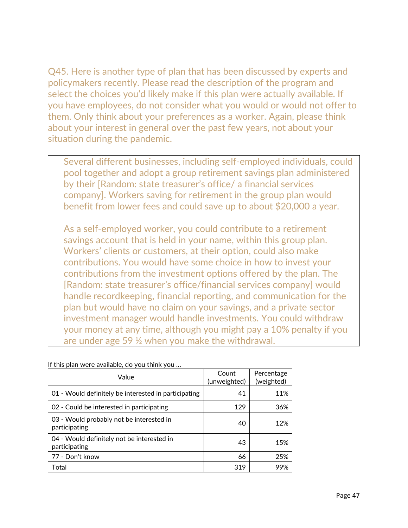Q45. Here is another type of plan that has been discussed by experts and policymakers recently. Please read the description of the program and select the choices you'd likely make if this plan were actually available. If you have employees, do not consider what you would or would not offer to them. Only think about your preferences as a worker. Again, please think about your interest in general over the past few years, not about your situation during the pandemic.

Several different businesses, including self-employed individuals, could pool together and adopt a group retirement savings plan administered by their [Random: state treasurer's office/ a financial services company]. Workers saving for retirement in the group plan would benefit from lower fees and could save up to about \$20,000 a year.

As a self-employed worker, you could contribute to a retirement savings account that is held in your name, within this group plan. Workers' clients or customers, at their option, could also make contributions. You would have some choice in how to invest your contributions from the investment options offered by the plan. The [Random: state treasurer's office/financial services company] would handle recordkeeping, financial reporting, and communication for the plan but would have no claim on your savings, and a private sector investment manager would handle investments. You could withdraw your money at any time, although you might pay a 10% penalty if you are under age 59 ½ when you make the withdrawal.

| Value                                                       | Count<br>(unweighted) | Percentage<br>(weighted) |
|-------------------------------------------------------------|-----------------------|--------------------------|
| 01 - Would definitely be interested in participating        | 41                    | 11%                      |
| 02 - Could be interested in participating                   | 129                   | 36%                      |
| 03 - Would probably not be interested in<br>participating   | 40                    | 12%                      |
| 04 - Would definitely not be interested in<br>participating | 43                    | 15%                      |
| 77 - Don't know                                             | 66                    | 25%                      |
| Total                                                       | 319                   |                          |

If this plan were available, do you think you …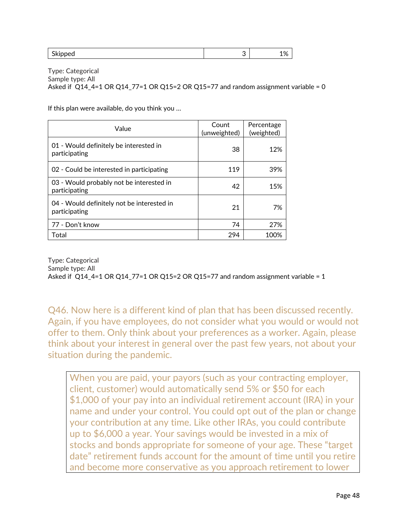| $\overline{\phantom{a}}$<br>.<br>¬.<br>`~~<br>$\sim$ | ւ. |  |
|------------------------------------------------------|----|--|
|                                                      |    |  |

Type: Categorical Sample type: All Asked if  $Q14_4$ =1 OR $Q14_7$ 7=1 OR $Q15$ =2 OR $Q15$ =77 and random assignment variable = 0

If this plan were available, do you think you …

| Value                                                       | Count<br>(unweighted) | Percentage<br>(weighted) |  |
|-------------------------------------------------------------|-----------------------|--------------------------|--|
| 01 - Would definitely be interested in<br>participating     | 38                    | 12%                      |  |
| 02 - Could be interested in participating                   | 119                   | 39%                      |  |
| 03 - Would probably not be interested in<br>participating   | 42                    | 15%                      |  |
| 04 - Would definitely not be interested in<br>participating | 21                    | 7%                       |  |
| 77 - Don't know                                             | 74                    | 27%                      |  |
| Total                                                       | 294                   | 100%                     |  |

Type: Categorical Sample type: All Asked if  $Q14_4$ =1 OR $Q14_7$ 7=1 OR $Q15$ =2 OR $Q15$ =77 and random assignment variable = 1

Q46. Now here is a different kind of plan that has been discussed recently. Again, if you have employees, do not consider what you would or would not offer to them. Only think about your preferences as a worker. Again, please think about your interest in general over the past few years, not about your situation during the pandemic.

When you are paid, your payors (such as your contracting employer, client, customer) would automatically send 5% or \$50 for each \$1,000 of your pay into an individual retirement account (IRA) in your name and under your control. You could opt out of the plan or change your contribution at any time. Like other IRAs, you could contribute up to \$6,000 a year. Your savings would be invested in a mix of stocks and bonds appropriate for someone of your age. These "target date" retirement funds account for the amount of time until you retire and become more conservative as you approach retirement to lower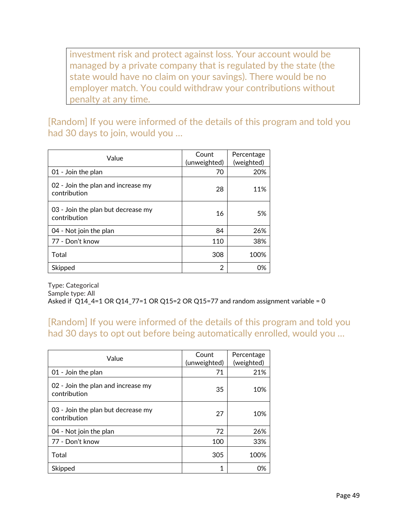investment risk and protect against loss. Your account would be managed by a private company that is regulated by the state (the state would have no claim on your savings). There would be no employer match. You could withdraw your contributions without penalty at any time.

[Random] If you were informed of the details of this program and told you had 30 days to join, would you …

| Value                                              | Count<br>(unweighted) | Percentage<br>(weighted) |  |
|----------------------------------------------------|-----------------------|--------------------------|--|
| 01 - Join the plan                                 | 70                    | 20%                      |  |
| 02 - Join the plan and increase my<br>contribution | 28                    | 11%                      |  |
| 03 - Join the plan but decrease my<br>contribution | 16                    | .5%                      |  |
| 04 - Not join the plan                             | 84                    | 26%                      |  |
| 77 - Don't know                                    | 110                   | 38%                      |  |
| Total                                              | 308                   | 100%                     |  |
| Skipped                                            | 2                     | 0%                       |  |

Type: Categorical Sample type: All Asked if  $Q14_4$ =1 OR  $Q14_7$ 7=1 OR  $Q15$ =2 OR  $Q15$ =77 and random assignment variable = 0

### [Random] If you were informed of the details of this program and told you had 30 days to opt out before being automatically enrolled, would you …

| Value                                              | Count<br>(unweighted) | Percentage<br>(weighted) |  |
|----------------------------------------------------|-----------------------|--------------------------|--|
| 01 - Join the plan                                 | 71                    | 21%                      |  |
| 02 - Join the plan and increase my<br>contribution | 35                    |                          |  |
| 03 - Join the plan but decrease my<br>contribution | 27                    | 10%                      |  |
| 04 - Not join the plan                             | 72                    | 26%                      |  |
| 77 - Don't know                                    | 100                   | 33%                      |  |
| Total                                              | 305                   | 100%                     |  |
| Skipped                                            | 1                     | 0%                       |  |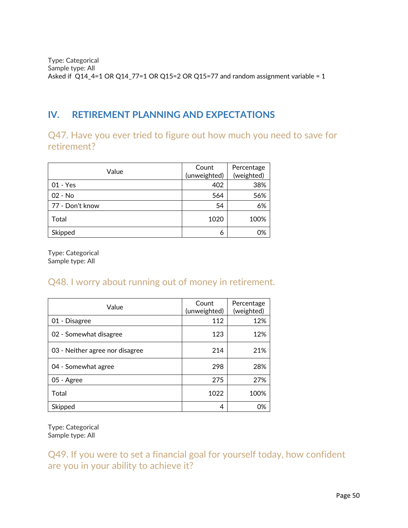Type: Categorical Sample type: All Asked if Q14\_4=1 OR Q14\_77=1 OR Q15=2 OR Q15=77 and random assignment variable = 1

# **IV. RETIREMENT PLANNING AND EXPECTATIONS**

Q47. Have you ever tried to figure out how much you need to save for retirement?

| Value           | Count<br>(unweighted) | Percentage<br>(weighted) |  |
|-----------------|-----------------------|--------------------------|--|
| $01 - Yes$      | 402                   | 38%                      |  |
| $02 - No$       | 564                   | 56%                      |  |
| 77 - Don't know | 54                    | 6%                       |  |
| Total           | 1020                  | 100%                     |  |
| Skipped         | 6                     | 0%                       |  |

Type: Categorical Sample type: All

# Q48. I worry about running out of money in retirement.

| Value                           | Count<br>(unweighted) | Percentage<br>(weighted) |  |
|---------------------------------|-----------------------|--------------------------|--|
| 01 - Disagree                   | 112                   | 12%                      |  |
| 02 - Somewhat disagree          | 123                   | 12%                      |  |
| 03 - Neither agree nor disagree | 214                   | 21%                      |  |
| 04 - Somewhat agree             | 298                   | 28%                      |  |
| 05 - Agree                      | 275                   | 27%                      |  |
| Total                           | 1022                  | 100%                     |  |
| Skipped                         | 4                     | 0%                       |  |

Type: Categorical Sample type: All

Q49. If you were to set a financial goal for yourself today, how confident are you in your ability to achieve it?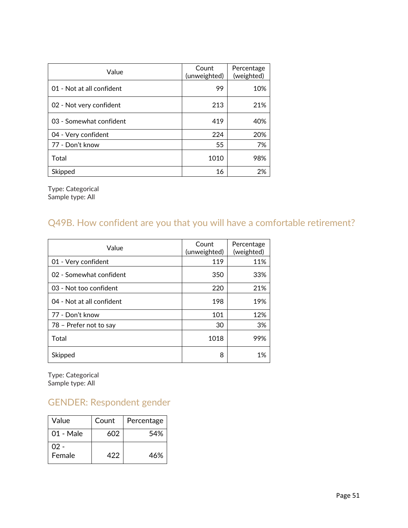| Value                     | Count<br>(unweighted) | Percentage<br>(weighted) |  |
|---------------------------|-----------------------|--------------------------|--|
| 01 - Not at all confident | 99                    | 10%                      |  |
| 02 - Not very confident   | 213                   | 21%                      |  |
| 03 - Somewhat confident   | 419                   | 40%                      |  |
| 04 - Very confident       | 224                   | 20%                      |  |
| 77 - Don't know           | 55                    | 7%                       |  |
| Total                     | 1010                  | 98%                      |  |
| Skipped                   | 16                    | 2%                       |  |

Type: Categorical Sample type: All

# Q49B. How confident are you that you will have a comfortable retirement?

| Value                     | Count<br>(unweighted) | Percentage<br>(weighted) |  |
|---------------------------|-----------------------|--------------------------|--|
| 01 - Very confident       | 119                   | 11%                      |  |
| 02 - Somewhat confident   | 350                   | 33%                      |  |
| 03 - Not too confident    | 220                   | 21%                      |  |
| 04 - Not at all confident | 198                   | 19%                      |  |
| 77 - Don't know           | 101                   | 12%                      |  |
| 78 - Prefer not to say    | 30                    | 3%                       |  |
| Total                     | 1018                  | 99%                      |  |
| Skipped                   | 8                     | 1%                       |  |

Type: Categorical Sample type: All

# GENDER: Respondent gender

| Value          | Count | Percentage |
|----------------|-------|------------|
| 01 - Male      | 602   | 54%        |
| በ2 -<br>Female | 422   | 46%        |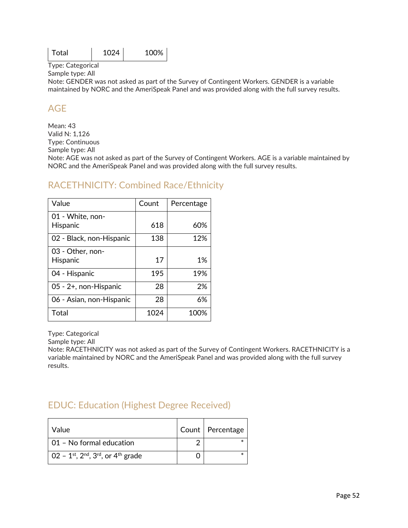| l Total | 1024 | 100% |  |
|---------|------|------|--|
|         |      |      |  |

Sample type: All

Note: GENDER was not asked as part of the Survey of Contingent Workers. GENDER is a variable maintained by NORC and the AmeriSpeak Panel and was provided along with the full survey results.

# AGE

Mean: 43 Valid N: 1,126 Type: Continuous Sample type: All Note: AGE was not asked as part of the Survey of Contingent Workers. AGE is a variable maintained by NORC and the AmeriSpeak Panel and was provided along with the full survey results.

### RACETHNICITY: Combined Race/Ethnicity

| Value                        | Count | Percentage |
|------------------------------|-------|------------|
| 01 - White, non-<br>Hispanic | 618   | 60%        |
| 02 - Black, non-Hispanic     | 138   | 12%        |
| 03 - Other, non-<br>Hispanic | 17    | 1%         |
| 04 - Hispanic                | 195   | 19%        |
| 05 - 2+, non-Hispanic        | 28    | 2%         |
| 06 - Asian, non-Hispanic     | 28    | 6%         |
| Total                        | 1024  | 100%       |

Type: Categorical

Sample type: All

Note: RACETHNICITY was not asked as part of the Survey of Contingent Workers. RACETHNICITY is a variable maintained by NORC and the AmeriSpeak Panel and was provided along with the full survey results.

# EDUC: Education (Highest Degree Received)

| Value                                                                                   | Count   Percentage |
|-----------------------------------------------------------------------------------------|--------------------|
| 01 - No formal education                                                                |                    |
| $0.02 - 1$ <sup>st</sup> , 2 <sup>nd</sup> , 3 <sup>rd</sup> , or 4 <sup>th</sup> grade |                    |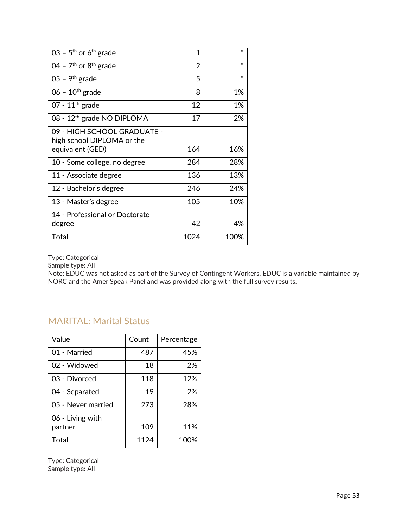| 03 – 5 <sup>th</sup> or 6 <sup>th</sup> grade             | 1              | $\ast$ |
|-----------------------------------------------------------|----------------|--------|
| 04 - $7th$ or $8th$ grade                                 | $\overline{2}$ | $\ast$ |
| 05 - 9 <sup>th</sup> grade                                | 5              | $\ast$ |
| $06 - 10$ <sup>th</sup> grade                             | 8              | 1%     |
| 07 - $11th$ grade                                         | 12             | 1%     |
| 08 - 12 <sup>th</sup> grade NO DIPLOMA                    | 17             | 2%     |
| 09 - HIGH SCHOOL GRADUATE -<br>high school DIPLOMA or the |                |        |
| equivalent (GED)                                          | 164            | 16%    |
| 10 - Some college, no degree                              | 284            | 28%    |
| 11 - Associate degree                                     | 136            | 13%    |
| 12 - Bachelor's degree                                    | 246            | 24%    |
| 13 - Master's degree                                      | 105            | 10%    |
| 14 - Professional or Doctorate<br>degree                  | 42             | 4%     |
| Total                                                     | 1024           | 100%   |

Sample type: All

Note: EDUC was not asked as part of the Survey of Contingent Workers. EDUC is a variable maintained by NORC and the AmeriSpeak Panel and was provided along with the full survey results.

# MARITAL: Marital Status

| Value              | Count | Percentage |
|--------------------|-------|------------|
| 01 - Married       | 487   | 45%        |
| 02 - Widowed       | 18    | 2%         |
| 03 - Divorced      | 118   | 12%        |
| 04 - Separated     | 19    | 2%         |
| 05 - Never married | 273   | 28%        |
| 06 - Living with   |       |            |
| partner            | 109   | 11%        |
| Total              | 1124  | 100%       |

Type: Categorical Sample type: All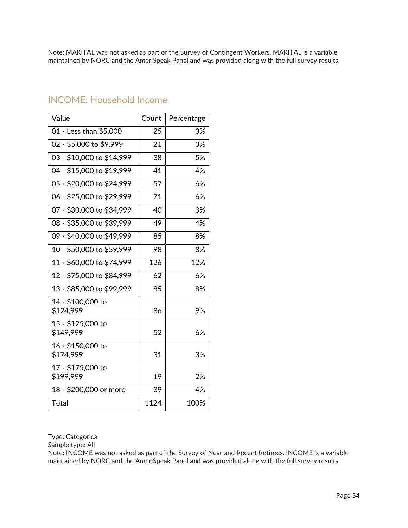Note: MARITAL was not asked as part of the Survey of Contingent Workers. MARITAL is a variable maintained by NORC and the AmeriSpeak Panel and was provided along with the full survey results.

| Value                          | Count | Percentage |
|--------------------------------|-------|------------|
| 01 - Less than \$5,000         | 25    | 3%         |
| 02 - \$5,000 to \$9,999        | 21    | 3%         |
| 03 - \$10,000 to \$14,999      | 38    | 5%         |
| 04 - \$15,000 to \$19,999      | 41    | 4%         |
| 05 - \$20,000 to \$24,999      | 57    | 6%         |
| 06 - \$25,000 to \$29,999      | 71    | 6%         |
| 07 - \$30,000 to \$34,999      | 40    | 3%         |
| 08 - \$35,000 to \$39,999      | 49    | 4%         |
| 09 - \$40,000 to \$49,999      | 85    | 8%         |
| 10 - \$50,000 to \$59,999      | 98    | 8%         |
| 11 - \$60,000 to \$74,999      | 126   | 12%        |
| 12 - \$75,000 to \$84,999      | 62    | 6%         |
| 13 - \$85,000 to \$99,999      | 85    | 8%         |
| 14 - \$100,000 to<br>\$124,999 | 86    | 9%         |
| 15 - \$125,000 to<br>\$149,999 | 52    | 6%         |
| 16 - \$150,000 to<br>\$174,999 | 31    | 3%         |
| 17 - \$175,000 to<br>\$199,999 | 19    | 2%         |
| 18 - \$200,000 or more         | 39    | 4%         |
| Total                          | 1124  | 100%       |

#### INCOME: Household Income

Type: Categorical

Sample type: All

Note: INCOME was not asked as part of the Survey of Near and Recent Retirees. INCOME is a variable maintained by NORC and the AmeriSpeak Panel and was provided along with the full survey results.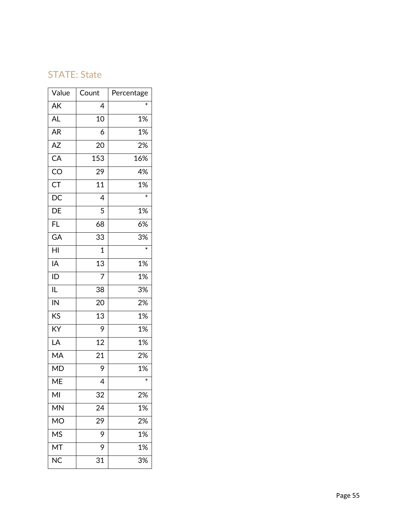### STATE: State

| Value                    | Count            | Percentage |
|--------------------------|------------------|------------|
| AK                       | 4                | $\ast$     |
| <b>AL</b>                | 10               | 1%         |
| AR                       | 6                | 1%         |
| $\overline{AZ}$          | 20               | 2%         |
| $\overline{CA}$          | 153              | 16%        |
| CO                       | 29               | 4%         |
| $\overline{\mathsf{CT}}$ | $\overline{11}$  | 1%         |
| $\overline{DC}$          | 4                | $\ast$     |
| $\overline{DE}$          | 5                | 1%         |
| $\overline{FL}$          | 68               | 6%         |
| GA                       | 33               | 3%         |
| $\overline{\mathsf{H}}$  | $\mathbf 1$      | $\ast$     |
| IA                       | $\overline{13}$  | 1%         |
| $\overline{1}$           | $\overline{7}$   | 1%         |
| $\overline{\mathsf{IL}}$ | 38               | 3%         |
| $\overline{\mathsf{N}}$  | 20               | 2%         |
| KS                       | 13               | 1%         |
| $\overline{KY}$          | 9                | 1%         |
| $\overline{\mathsf{LA}}$ | 12               | 1%         |
| MA                       | 21               | 2%         |
| $\overline{\mathsf{MD}}$ | 9                | 1%         |
| $\overline{\sf ME}$      | 4                | $\ast$     |
| MI                       | 32               | 2%         |
| MN                       | 24               | 1%         |
| <b>MO</b>                | $\overline{2}$ 9 | 2%         |
| <b>MS</b>                | 9                | 1%         |
| МT                       | 9                | 1%         |
| <b>NC</b>                | 31               | 3%         |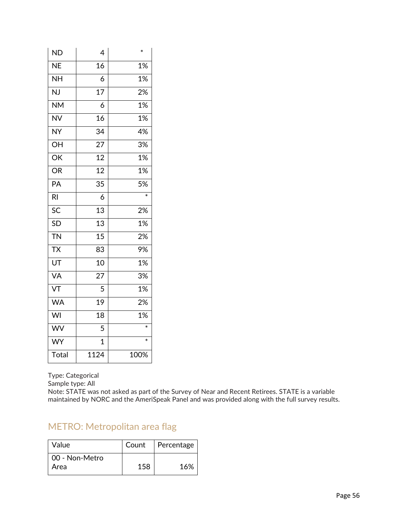| <b>ND</b>                | 4               | $\ast$ |
|--------------------------|-----------------|--------|
| <b>NE</b>                | 16              | 1%     |
| <b>NH</b>                | 6               | 1%     |
| NJ                       | $\overline{17}$ | 2%     |
| <b>NM</b>                | 6               | 1%     |
| <b>NV</b>                | 16              | 1%     |
| <b>NY</b>                | 34              | 4%     |
| OH                       | 27              | 3%     |
| OK                       | $\overline{12}$ | 1%     |
| <b>OR</b>                | 12              | 1%     |
| PA                       | 35              | 5%     |
| R <sub>l</sub>           | 6               |        |
| SC                       | 13              | 2%     |
| <b>SD</b>                | 13              | 1%     |
| <b>TN</b>                | 15              | 2%     |
| $\overline{\mathsf{TX}}$ | 83              | 9%     |
| $\overline{\mathsf{UT}}$ | 10              | 1%     |
| <b>VA</b>                | 27              | 3%     |
| VT                       | 5               | 1%     |
| <b>WA</b>                | 19              | 2%     |
| WI                       | 18              | 1%     |
| WV                       | 5               | $\ast$ |
| WY                       | $\overline{1}$  | $\ast$ |
| Total                    | 1124            | 100%   |

Sample type: All

Note: STATE was not asked as part of the Survey of Near and Recent Retirees. STATE is a variable maintained by NORC and the AmeriSpeak Panel and was provided along with the full survey results.

# METRO: Metropolitan area flag

| Value                  | Count | Percentage |
|------------------------|-------|------------|
| 00 - Non-Metro<br>Area | 158   | 16%        |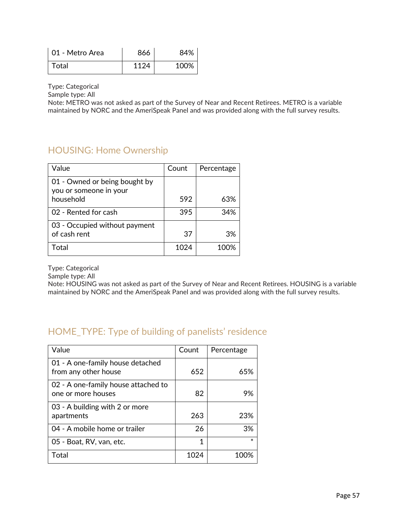| 01 - Metro Area | 866  | 84%  |
|-----------------|------|------|
| Total           | 1124 | 100% |

Sample type: All

Note: METRO was not asked as part of the Survey of Near and Recent Retirees. METRO is a variable maintained by NORC and the AmeriSpeak Panel and was provided along with the full survey results.

# HOUSING: Home Ownership

| Value                                                   | Count | Percentage |
|---------------------------------------------------------|-------|------------|
| 01 - Owned or being bought by<br>you or someone in your |       |            |
| household                                               | 592   | 63%        |
| 02 - Rented for cash                                    | 395   | 34%        |
| 03 - Occupied without payment<br>of cash rent           | 37    | 3%         |
| Total                                                   | 1024  | 100%       |

Type: Categorical

Sample type: All

Note: HOUSING was not asked as part of the Survey of Near and Recent Retirees. HOUSING is a variable maintained by NORC and the AmeriSpeak Panel and was provided along with the full survey results.

# HOME\_TYPE: Type of building of panelists' residence

| Value                                                     | Count | Percentage |
|-----------------------------------------------------------|-------|------------|
| 01 - A one-family house detached<br>from any other house  | 652   | 65%        |
| 02 - A one-family house attached to<br>one or more houses | 82    | 9%         |
| 03 - A building with 2 or more<br>apartments              | 263   | 23%        |
| 04 - A mobile home or trailer                             | 26    | 3%         |
| 05 - Boat, RV, van, etc.                                  | 1     |            |
| Total                                                     | 1024  |            |